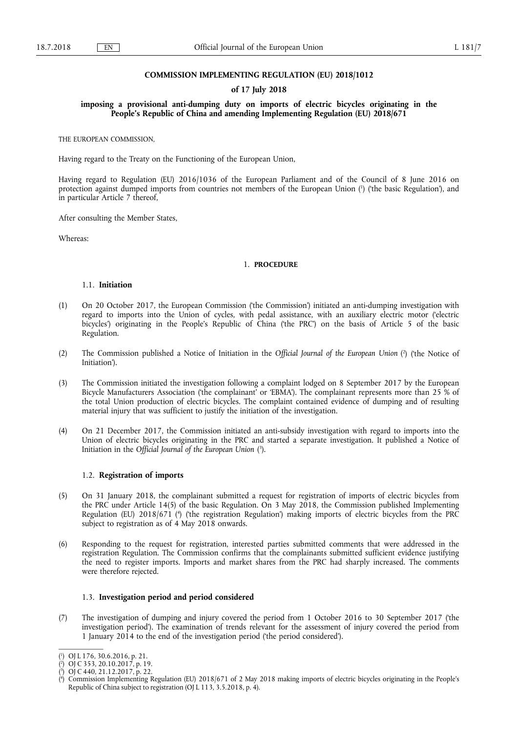## **COMMISSION IMPLEMENTING REGULATION (EU) 2018/1012**

### **of 17 July 2018**

**imposing a provisional anti-dumping duty on imports of electric bicycles originating in the People's Republic of China and amending Implementing Regulation (EU) 2018/671** 

THE EUROPEAN COMMISSION,

Having regard to the Treaty on the Functioning of the European Union,

Having regard to Regulation (EU) 2016/1036 of the European Parliament and of the Council of 8 June 2016 on protection against dumped imports from countries not members of the European Union ( 1 ) ('the basic Regulation'), and in particular Article 7 thereof,

After consulting the Member States,

Whereas:

## 1. **PROCEDURE**

### 1.1. **Initiation**

- (1) On 20 October 2017, the European Commission ('the Commission') initiated an anti-dumping investigation with regard to imports into the Union of cycles, with pedal assistance, with an auxiliary electric motor ('electric bicycles') originating in the People's Republic of China ('the PRC') on the basis of Article 5 of the basic Regulation.
- (2) The Commission published a Notice of Initiation in the Official Journal of the European Union (<sup>2</sup>) ('the Notice of Initiation').
- (3) The Commission initiated the investigation following a complaint lodged on 8 September 2017 by the European Bicycle Manufacturers Association ('the complainant' or 'EBMA'). The complainant represents more than 25 % of the total Union production of electric bicycles. The complaint contained evidence of dumping and of resulting material injury that was sufficient to justify the initiation of the investigation.
- (4) On 21 December 2017, the Commission initiated an anti-subsidy investigation with regard to imports into the Union of electric bicycles originating in the PRC and started a separate investigation. It published a Notice of Initiation in the *Official Journal of the European Union* ( 3 ).

## 1.2. **Registration of imports**

- (5) On 31 January 2018, the complainant submitted a request for registration of imports of electric bicycles from the PRC under Article 14(5) of the basic Regulation. On 3 May 2018, the Commission published Implementing Regulation (EU) 2018/671 (<sup>4</sup>) ('the registration Regulation') making imports of electric bicycles from the PRC subject to registration as of 4 May 2018 onwards.
- (6) Responding to the request for registration, interested parties submitted comments that were addressed in the registration Regulation. The Commission confirms that the complainants submitted sufficient evidence justifying the need to register imports. Imports and market shares from the PRC had sharply increased. The comments were therefore rejected.

### 1.3. **Investigation period and period considered**

(7) The investigation of dumping and injury covered the period from 1 October 2016 to 30 September 2017 ('the investigation period'). The examination of trends relevant for the assessment of injury covered the period from 1 January 2014 to the end of the investigation period ('the period considered').

<sup>(</sup> 1 ) OJ L 176, 30.6.2016, p. 21.

<sup>(</sup> 2 ) OJ C 353, 20.10.2017, p. 19.

<sup>(</sup> 3 ) OJ C 440, 21.12.2017, p. 22.

<sup>(</sup> 4 ) Commission Implementing Regulation (EU) 2018/671 of 2 May 2018 making imports of electric bicycles originating in the People's Republic of China subject to registration (OJ L 113, 3.5.2018, p. 4).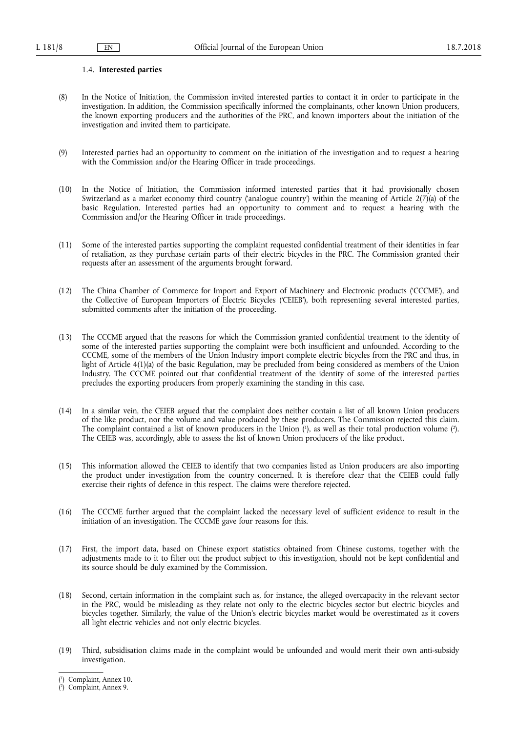## 1.4. **Interested parties**

- (8) In the Notice of Initiation, the Commission invited interested parties to contact it in order to participate in the investigation. In addition, the Commission specifically informed the complainants, other known Union producers, the known exporting producers and the authorities of the PRC, and known importers about the initiation of the investigation and invited them to participate.
- (9) Interested parties had an opportunity to comment on the initiation of the investigation and to request a hearing with the Commission and/or the Hearing Officer in trade proceedings.
- (10) In the Notice of Initiation, the Commission informed interested parties that it had provisionally chosen Switzerland as a market economy third country ('analogue country') within the meaning of Article 2(7)(a) of the basic Regulation. Interested parties had an opportunity to comment and to request a hearing with the Commission and/or the Hearing Officer in trade proceedings.
- (11) Some of the interested parties supporting the complaint requested confidential treatment of their identities in fear of retaliation, as they purchase certain parts of their electric bicycles in the PRC. The Commission granted their requests after an assessment of the arguments brought forward.
- (12) The China Chamber of Commerce for Import and Export of Machinery and Electronic products ('CCCME'), and the Collective of European Importers of Electric Bicycles ('CEIEB'), both representing several interested parties, submitted comments after the initiation of the proceeding.
- (13) The CCCME argued that the reasons for which the Commission granted confidential treatment to the identity of some of the interested parties supporting the complaint were both insufficient and unfounded. According to the CCCME, some of the members of the Union Industry import complete electric bicycles from the PRC and thus, in light of Article 4(1)(a) of the basic Regulation, may be precluded from being considered as members of the Union Industry. The CCCME pointed out that confidential treatment of the identity of some of the interested parties precludes the exporting producers from properly examining the standing in this case.
- (14) In a similar vein, the CEIEB argued that the complaint does neither contain a list of all known Union producers of the like product, nor the volume and value produced by these producers. The Commission rejected this claim. The complaint contained a list of known producers in the Union (<sup>1</sup>), as well as their total production volume (<sup>2</sup>). The CEIEB was, accordingly, able to assess the list of known Union producers of the like product.
- (15) This information allowed the CEIEB to identify that two companies listed as Union producers are also importing the product under investigation from the country concerned. It is therefore clear that the CEIEB could fully exercise their rights of defence in this respect. The claims were therefore rejected.
- (16) The CCCME further argued that the complaint lacked the necessary level of sufficient evidence to result in the initiation of an investigation. The CCCME gave four reasons for this.
- (17) First, the import data, based on Chinese export statistics obtained from Chinese customs, together with the adjustments made to it to filter out the product subject to this investigation, should not be kept confidential and its source should be duly examined by the Commission.
- (18) Second, certain information in the complaint such as, for instance, the alleged overcapacity in the relevant sector in the PRC, would be misleading as they relate not only to the electric bicycles sector but electric bicycles and bicycles together. Similarly, the value of the Union's electric bicycles market would be overestimated as it covers all light electric vehicles and not only electric bicycles.
- (19) Third, subsidisation claims made in the complaint would be unfounded and would merit their own anti-subsidy investigation.

<sup>(</sup> 1 ) Complaint, Annex 10.

<sup>(</sup> 2 ) Complaint, Annex 9.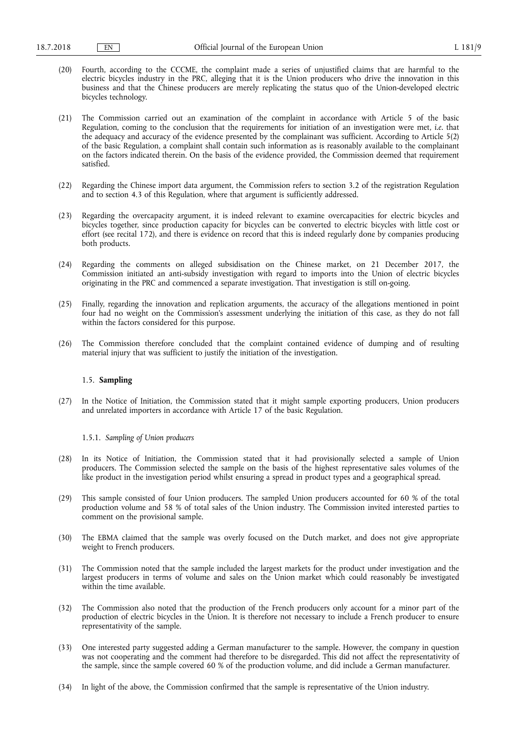- (20) Fourth, according to the CCCME, the complaint made a series of unjustified claims that are harmful to the electric bicycles industry in the PRC, alleging that it is the Union producers who drive the innovation in this business and that the Chinese producers are merely replicating the status quo of the Union-developed electric bicycles technology.
- (21) The Commission carried out an examination of the complaint in accordance with Article 5 of the basic Regulation, coming to the conclusion that the requirements for initiation of an investigation were met, *i.e.* that the adequacy and accuracy of the evidence presented by the complainant was sufficient. According to Article 5(2) of the basic Regulation, a complaint shall contain such information as is reasonably available to the complainant on the factors indicated therein. On the basis of the evidence provided, the Commission deemed that requirement satisfied.
- (22) Regarding the Chinese import data argument, the Commission refers to section 3.2 of the registration Regulation and to section 4.3 of this Regulation, where that argument is sufficiently addressed.
- (23) Regarding the overcapacity argument, it is indeed relevant to examine overcapacities for electric bicycles and bicycles together, since production capacity for bicycles can be converted to electric bicycles with little cost or effort (see recital 172), and there is evidence on record that this is indeed regularly done by companies producing both products.
- (24) Regarding the comments on alleged subsidisation on the Chinese market, on 21 December 2017, the Commission initiated an anti-subsidy investigation with regard to imports into the Union of electric bicycles originating in the PRC and commenced a separate investigation. That investigation is still on-going.
- (25) Finally, regarding the innovation and replication arguments, the accuracy of the allegations mentioned in point four had no weight on the Commission's assessment underlying the initiation of this case, as they do not fall within the factors considered for this purpose.
- (26) The Commission therefore concluded that the complaint contained evidence of dumping and of resulting material injury that was sufficient to justify the initiation of the investigation.

## 1.5. **Sampling**

(27) In the Notice of Initiation, the Commission stated that it might sample exporting producers, Union producers and unrelated importers in accordance with Article 17 of the basic Regulation.

### 1.5.1. *Sampling of Union producers*

- (28) In its Notice of Initiation, the Commission stated that it had provisionally selected a sample of Union producers. The Commission selected the sample on the basis of the highest representative sales volumes of the like product in the investigation period whilst ensuring a spread in product types and a geographical spread.
- (29) This sample consisted of four Union producers. The sampled Union producers accounted for 60 % of the total production volume and 58 % of total sales of the Union industry. The Commission invited interested parties to comment on the provisional sample.
- (30) The EBMA claimed that the sample was overly focused on the Dutch market, and does not give appropriate weight to French producers.
- (31) The Commission noted that the sample included the largest markets for the product under investigation and the largest producers in terms of volume and sales on the Union market which could reasonably be investigated within the time available.
- (32) The Commission also noted that the production of the French producers only account for a minor part of the production of electric bicycles in the Union. It is therefore not necessary to include a French producer to ensure representativity of the sample.
- (33) One interested party suggested adding a German manufacturer to the sample. However, the company in question was not cooperating and the comment had therefore to be disregarded. This did not affect the representativity of the sample, since the sample covered 60 % of the production volume, and did include a German manufacturer.
- (34) In light of the above, the Commission confirmed that the sample is representative of the Union industry.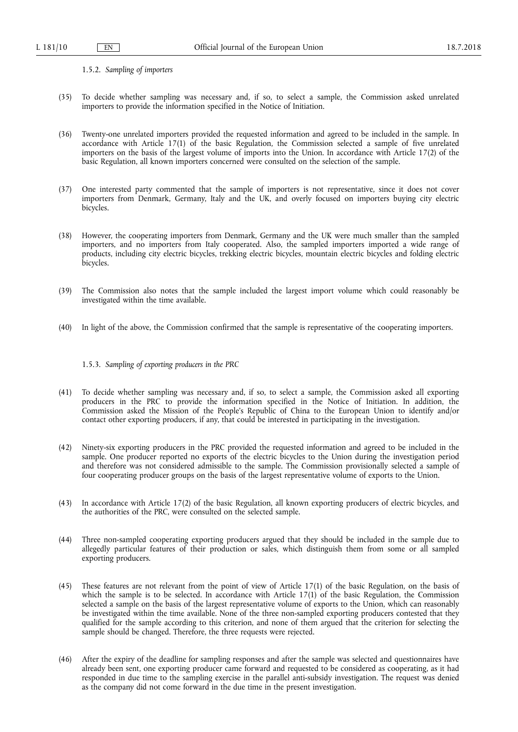1.5.2. *Sampling of importers* 

- (35) To decide whether sampling was necessary and, if so, to select a sample, the Commission asked unrelated importers to provide the information specified in the Notice of Initiation.
- (36) Twenty-one unrelated importers provided the requested information and agreed to be included in the sample. In accordance with Article 17(1) of the basic Regulation, the Commission selected a sample of five unrelated importers on the basis of the largest volume of imports into the Union. In accordance with Article 17(2) of the basic Regulation, all known importers concerned were consulted on the selection of the sample.
- (37) One interested party commented that the sample of importers is not representative, since it does not cover importers from Denmark, Germany, Italy and the UK, and overly focused on importers buying city electric bicycles.
- (38) However, the cooperating importers from Denmark, Germany and the UK were much smaller than the sampled importers, and no importers from Italy cooperated. Also, the sampled importers imported a wide range of products, including city electric bicycles, trekking electric bicycles, mountain electric bicycles and folding electric bicycles.
- (39) The Commission also notes that the sample included the largest import volume which could reasonably be investigated within the time available.
- (40) In light of the above, the Commission confirmed that the sample is representative of the cooperating importers.

1.5.3. *Sampling of exporting producers in the PRC* 

- (41) To decide whether sampling was necessary and, if so, to select a sample, the Commission asked all exporting producers in the PRC to provide the information specified in the Notice of Initiation. In addition, the Commission asked the Mission of the People's Republic of China to the European Union to identify and/or contact other exporting producers, if any, that could be interested in participating in the investigation.
- (42) Ninety-six exporting producers in the PRC provided the requested information and agreed to be included in the sample. One producer reported no exports of the electric bicycles to the Union during the investigation period and therefore was not considered admissible to the sample. The Commission provisionally selected a sample of four cooperating producer groups on the basis of the largest representative volume of exports to the Union.
- (43) In accordance with Article 17(2) of the basic Regulation, all known exporting producers of electric bicycles, and the authorities of the PRC, were consulted on the selected sample.
- (44) Three non-sampled cooperating exporting producers argued that they should be included in the sample due to allegedly particular features of their production or sales, which distinguish them from some or all sampled exporting producers.
- (45) These features are not relevant from the point of view of Article 17(1) of the basic Regulation, on the basis of which the sample is to be selected. In accordance with Article 17(1) of the basic Regulation, the Commission selected a sample on the basis of the largest representative volume of exports to the Union, which can reasonably be investigated within the time available. None of the three non-sampled exporting producers contested that they qualified for the sample according to this criterion, and none of them argued that the criterion for selecting the sample should be changed. Therefore, the three requests were rejected.
- (46) After the expiry of the deadline for sampling responses and after the sample was selected and questionnaires have already been sent, one exporting producer came forward and requested to be considered as cooperating, as it had responded in due time to the sampling exercise in the parallel anti-subsidy investigation. The request was denied as the company did not come forward in the due time in the present investigation.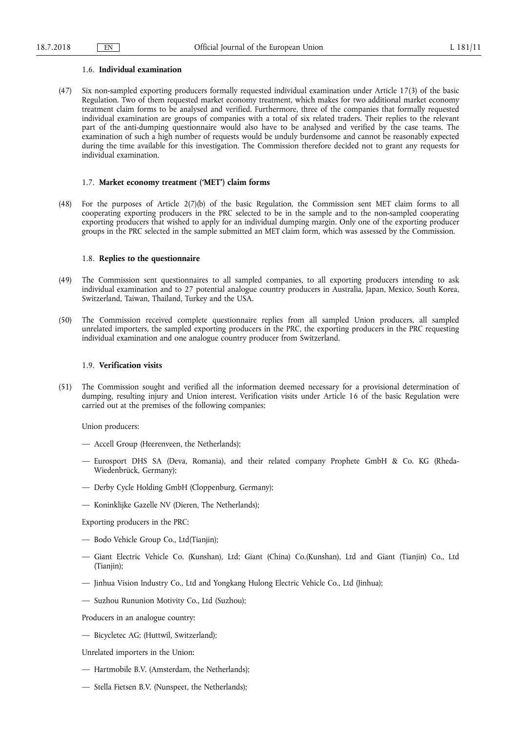### 1.6. **Individual examination**

(47) Six non-sampled exporting producers formally requested individual examination under Article 17(3) of the basic Regulation. Two of them requested market economy treatment, which makes for two additional market economy treatment claim forms to be analysed and verified. Furthermore, three of the companies that formally requested individual examination are groups of companies with a total of six related traders. Their replies to the relevant part of the anti-dumping questionnaire would also have to be analysed and verified by the case teams. The examination of such a high number of requests would be unduly burdensome and cannot be reasonably expected during the time available for this investigation. The Commission therefore decided not to grant any requests for individual examination.

### 1.7. **Market economy treatment ('MET') claim forms**

(48) For the purposes of Article 2(7)(b) of the basic Regulation, the Commission sent MET claim forms to all cooperating exporting producers in the PRC selected to be in the sample and to the non-sampled cooperating exporting producers that wished to apply for an individual dumping margin. Only one of the exporting producer groups in the PRC selected in the sample submitted an MET claim form, which was assessed by the Commission.

### 1.8. **Replies to the questionnaire**

- (49) The Commission sent questionnaires to all sampled companies, to all exporting producers intending to ask individual examination and to 27 potential analogue country producers in Australia, Japan, Mexico, South Korea, Switzerland, Taiwan, Thailand, Turkey and the USA.
- (50) The Commission received complete questionnaire replies from all sampled Union producers, all sampled unrelated importers, the sampled exporting producers in the PRC, the exporting producers in the PRC requesting individual examination and one analogue country producer from Switzerland.

## 1.9. **Verification visits**

(51) The Commission sought and verified all the information deemed necessary for a provisional determination of dumping, resulting injury and Union interest. Verification visits under Article 16 of the basic Regulation were carried out at the premises of the following companies:

Union producers:

- Accell Group (Heerenveen, the Netherlands);
- Eurosport DHS SA (Deva, Romania), and their related company Prophete GmbH & Co. KG (Rheda-Wiedenbrück, Germany);
- Derby Cycle Holding GmbH (Cloppenburg, Germany);
- Koninklijke Gazelle NV (Dieren, The Netherlands);

Exporting producers in the PRC:

- Bodo Vehicle Group Co., Ltd(Tianjin);
- Giant Electric Vehicle Co. (Kunshan), Ltd; Giant (China) Co.(Kunshan), Ltd and Giant (Tianjin) Co., Ltd (Tianjin);
- Jinhua Vision Industry Co., Ltd and Yongkang Hulong Electric Vehicle Co., Ltd (Jinhua);
- Suzhou Rununion Motivity Co., Ltd (Suzhou);

Producers in an analogue country:

— Bicycletec AG; (Huttwil, Switzerland);

Unrelated importers in the Union:

- Hartmobile B.V. (Amsterdam, the Netherlands);
- Stella Fietsen B.V. (Nunspeet, the Netherlands);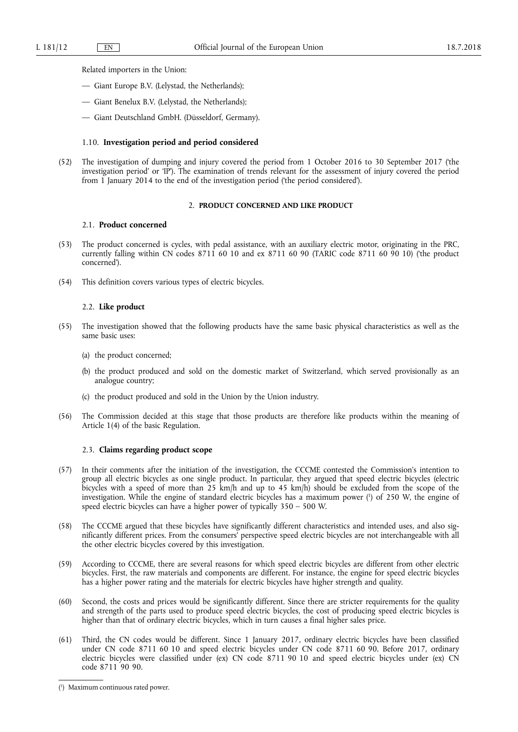Related importers in the Union:

- Giant Europe B.V. (Lelystad, the Netherlands);
- Giant Benelux B.V. (Lelystad, the Netherlands);
- Giant Deutschland GmbH. (Düsseldorf, Germany).

### 1.10. **Investigation period and period considered**

(52) The investigation of dumping and injury covered the period from 1 October 2016 to 30 September 2017 ('the investigation period' or 'IP'). The examination of trends relevant for the assessment of injury covered the period from 1 January 2014 to the end of the investigation period ('the period considered').

## 2. **PRODUCT CONCERNED AND LIKE PRODUCT**

## 2.1. **Product concerned**

- (53) The product concerned is cycles, with pedal assistance, with an auxiliary electric motor, originating in the PRC, currently falling within CN codes 8711 60 10 and ex 8711 60 90 (TARIC code 8711 60 90 10) ('the product concerned').
- (54) This definition covers various types of electric bicycles.

#### 2.2. **Like product**

- (55) The investigation showed that the following products have the same basic physical characteristics as well as the same basic uses:
	- (a) the product concerned;
	- (b) the product produced and sold on the domestic market of Switzerland, which served provisionally as an analogue country;
	- (c) the product produced and sold in the Union by the Union industry.
- (56) The Commission decided at this stage that those products are therefore like products within the meaning of Article 1(4) of the basic Regulation.

## 2.3. **Claims regarding product scope**

- (57) In their comments after the initiation of the investigation, the CCCME contested the Commission's intention to group all electric bicycles as one single product. In particular, they argued that speed electric bicycles (electric bicycles with a speed of more than 25 km/h and up to 45 km/h) should be excluded from the scope of the investigation. While the engine of standard electric bicycles has a maximum power ( 1 ) of 250 W, the engine of speed electric bicycles can have a higher power of typically 350 – 500 W.
- (58) The CCCME argued that these bicycles have significantly different characteristics and intended uses, and also significantly different prices. From the consumers' perspective speed electric bicycles are not interchangeable with all the other electric bicycles covered by this investigation.
- (59) According to CCCME, there are several reasons for which speed electric bicycles are different from other electric bicycles. First, the raw materials and components are different. For instance, the engine for speed electric bicycles has a higher power rating and the materials for electric bicycles have higher strength and quality.
- (60) Second, the costs and prices would be significantly different. Since there are stricter requirements for the quality and strength of the parts used to produce speed electric bicycles, the cost of producing speed electric bicycles is higher than that of ordinary electric bicycles, which in turn causes a final higher sales price.
- (61) Third, the CN codes would be different. Since 1 January 2017, ordinary electric bicycles have been classified under CN code 8711 60 10 and speed electric bicycles under CN code 8711 60 90. Before 2017, ordinary electric bicycles were classified under (ex) CN code 8711 90 10 and speed electric bicycles under (ex) CN code 8711 90 90.

<sup>(</sup> 1 ) Maximum continuous rated power.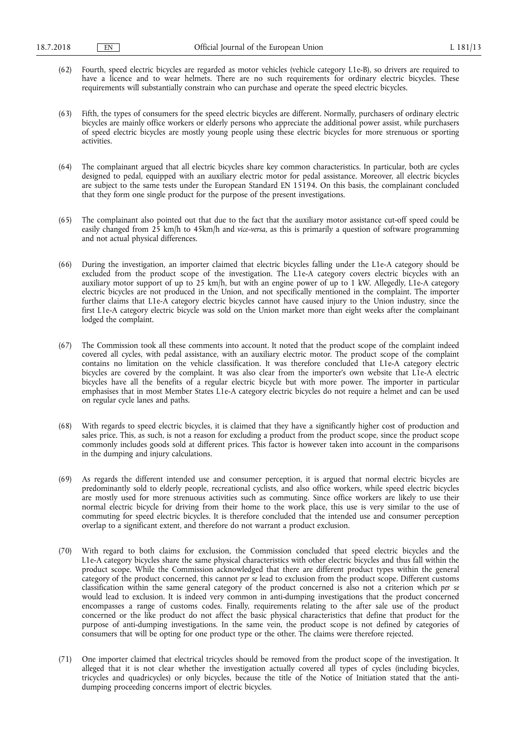- (62) Fourth, speed electric bicycles are regarded as motor vehicles (vehicle category L1e-B), so drivers are required to have a licence and to wear helmets. There are no such requirements for ordinary electric bicycles. These requirements will substantially constrain who can purchase and operate the speed electric bicycles.
- (63) Fifth, the types of consumers for the speed electric bicycles are different. Normally, purchasers of ordinary electric bicycles are mainly office workers or elderly persons who appreciate the additional power assist, while purchasers of speed electric bicycles are mostly young people using these electric bicycles for more strenuous or sporting activities.
- (64) The complainant argued that all electric bicycles share key common characteristics. In particular, both are cycles designed to pedal, equipped with an auxiliary electric motor for pedal assistance. Moreover, all electric bicycles are subject to the same tests under the European Standard EN 15194. On this basis, the complainant concluded that they form one single product for the purpose of the present investigations.
- (65) The complainant also pointed out that due to the fact that the auxiliary motor assistance cut-off speed could be easily changed from 25 km/h to 45km/h and *vice-versa*, as this is primarily a question of software programming and not actual physical differences.
- (66) During the investigation, an importer claimed that electric bicycles falling under the L1e-A category should be excluded from the product scope of the investigation. The L1e-A category covers electric bicycles with an auxiliary motor support of up to 25 km/h, but with an engine power of up to 1 kW. Allegedly, L1e-A category electric bicycles are not produced in the Union, and not specifically mentioned in the complaint. The importer further claims that L1e-A category electric bicycles cannot have caused injury to the Union industry, since the first L1e-A category electric bicycle was sold on the Union market more than eight weeks after the complainant lodged the complaint.
- (67) The Commission took all these comments into account. It noted that the product scope of the complaint indeed covered all cycles, with pedal assistance, with an auxiliary electric motor. The product scope of the complaint contains no limitation on the vehicle classification. It was therefore concluded that L1e-A category electric bicycles are covered by the complaint. It was also clear from the importer's own website that L1e-A electric bicycles have all the benefits of a regular electric bicycle but with more power. The importer in particular emphasises that in most Member States L1e-A category electric bicycles do not require a helmet and can be used on regular cycle lanes and paths.
- (68) With regards to speed electric bicycles, it is claimed that they have a significantly higher cost of production and sales price. This, as such, is not a reason for excluding a product from the product scope, since the product scope commonly includes goods sold at different prices. This factor is however taken into account in the comparisons in the dumping and injury calculations.
- (69) As regards the different intended use and consumer perception, it is argued that normal electric bicycles are predominantly sold to elderly people, recreational cyclists, and also office workers, while speed electric bicycles are mostly used for more strenuous activities such as commuting. Since office workers are likely to use their normal electric bicycle for driving from their home to the work place, this use is very similar to the use of commuting for speed electric bicycles. It is therefore concluded that the intended use and consumer perception overlap to a significant extent, and therefore do not warrant a product exclusion.
- (70) With regard to both claims for exclusion, the Commission concluded that speed electric bicycles and the L1e-A category bicycles share the same physical characteristics with other electric bicycles and thus fall within the product scope. While the Commission acknowledged that there are different product types within the general category of the product concerned, this cannot *per se* lead to exclusion from the product scope. Different customs classification within the same general category of the product concerned is also not a criterion which *per se*  would lead to exclusion. It is indeed very common in anti-dumping investigations that the product concerned encompasses a range of customs codes. Finally, requirements relating to the after sale use of the product concerned or the like product do not affect the basic physical characteristics that define that product for the purpose of anti-dumping investigations. In the same vein, the product scope is not defined by categories of consumers that will be opting for one product type or the other. The claims were therefore rejected.
- (71) One importer claimed that electrical tricycles should be removed from the product scope of the investigation. It alleged that it is not clear whether the investigation actually covered all types of cycles (including bicycles, tricycles and quadricycles) or only bicycles, because the title of the Notice of Initiation stated that the antidumping proceeding concerns import of electric bicycles.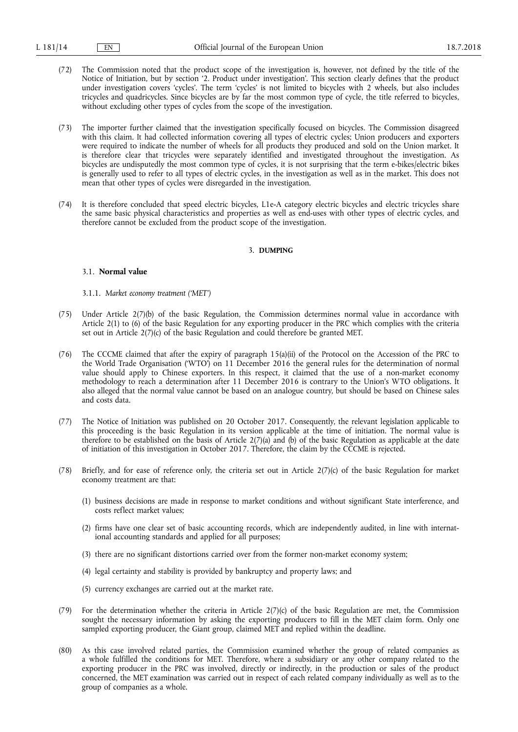- (72) The Commission noted that the product scope of the investigation is, however, not defined by the title of the Notice of Initiation, but by section '2. Product under investigation'. This section clearly defines that the product under investigation covers 'cycles'. The term 'cycles' is not limited to bicycles with 2 wheels, but also includes tricycles and quadricycles. Since bicycles are by far the most common type of cycle, the title referred to bicycles, without excluding other types of cycles from the scope of the investigation.
- (73) The importer further claimed that the investigation specifically focused on bicycles. The Commission disagreed with this claim. It had collected information covering all types of electric cycles; Union producers and exporters were required to indicate the number of wheels for all products they produced and sold on the Union market. It is therefore clear that tricycles were separately identified and investigated throughout the investigation. As bicycles are undisputedly the most common type of cycles, it is not surprising that the term e-bikes/electric bikes is generally used to refer to all types of electric cycles, in the investigation as well as in the market. This does not mean that other types of cycles were disregarded in the investigation.
- (74) It is therefore concluded that speed electric bicycles, L1e-A category electric bicycles and electric tricycles share the same basic physical characteristics and properties as well as end-uses with other types of electric cycles, and therefore cannot be excluded from the product scope of the investigation.

#### 3. **DUMPING**

## 3.1. **Normal value**

- 3.1.1. *Market economy treatment ('MET')*
- (75) Under Article 2(7)(b) of the basic Regulation, the Commission determines normal value in accordance with Article 2(1) to (6) of the basic Regulation for any exporting producer in the PRC which complies with the criteria set out in Article 2(7)(c) of the basic Regulation and could therefore be granted MET.
- (76) The CCCME claimed that after the expiry of paragraph 15(a)(ii) of the Protocol on the Accession of the PRC to the World Trade Organisation ('WTO') on 11 December 2016 the general rules for the determination of normal value should apply to Chinese exporters. In this respect, it claimed that the use of a non-market economy methodology to reach a determination after 11 December 2016 is contrary to the Union's WTO obligations. It also alleged that the normal value cannot be based on an analogue country, but should be based on Chinese sales and costs data.
- (77) The Notice of Initiation was published on 20 October 2017. Consequently, the relevant legislation applicable to this proceeding is the basic Regulation in its version applicable at the time of initiation. The normal value is therefore to be established on the basis of Article  $2(7)(a)$  and (b) of the basic Regulation as applicable at the date of initiation of this investigation in October 2017. Therefore, the claim by the CCCME is rejected.
- (78) Briefly, and for ease of reference only, the criteria set out in Article 2(7)(c) of the basic Regulation for market economy treatment are that:
	- (1) business decisions are made in response to market conditions and without significant State interference, and costs reflect market values;
	- (2) firms have one clear set of basic accounting records, which are independently audited, in line with international accounting standards and applied for all purposes;
	- (3) there are no significant distortions carried over from the former non-market economy system;
	- (4) legal certainty and stability is provided by bankruptcy and property laws; and
	- (5) currency exchanges are carried out at the market rate.
- (79) For the determination whether the criteria in Article 2(7)(c) of the basic Regulation are met, the Commission sought the necessary information by asking the exporting producers to fill in the MET claim form. Only one sampled exporting producer, the Giant group, claimed MET and replied within the deadline.
- (80) As this case involved related parties, the Commission examined whether the group of related companies as a whole fulfilled the conditions for MET. Therefore, where a subsidiary or any other company related to the exporting producer in the PRC was involved, directly or indirectly, in the production or sales of the product concerned, the MET examination was carried out in respect of each related company individually as well as to the group of companies as a whole.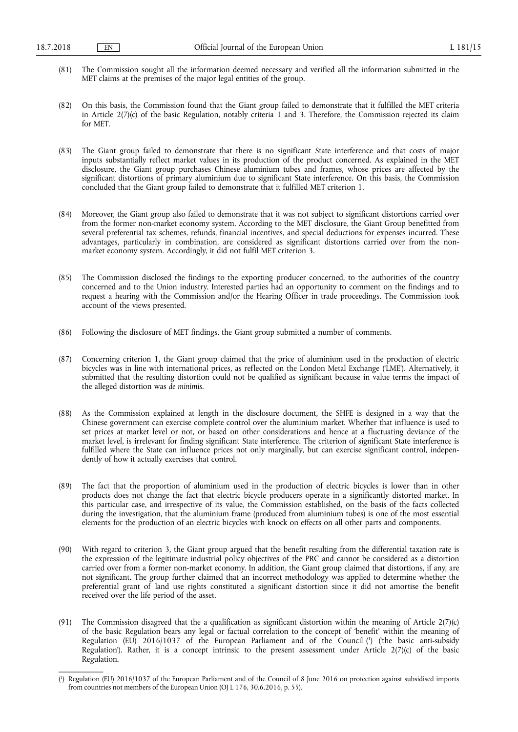- (81) The Commission sought all the information deemed necessary and verified all the information submitted in the MET claims at the premises of the major legal entities of the group.
- (82) On this basis, the Commission found that the Giant group failed to demonstrate that it fulfilled the MET criteria in Article 2(7)(c) of the basic Regulation, notably criteria 1 and 3. Therefore, the Commission rejected its claim for MET.
- (83) The Giant group failed to demonstrate that there is no significant State interference and that costs of major inputs substantially reflect market values in its production of the product concerned. As explained in the MET disclosure, the Giant group purchases Chinese aluminium tubes and frames, whose prices are affected by the significant distortions of primary aluminium due to significant State interference. On this basis, the Commission concluded that the Giant group failed to demonstrate that it fulfilled MET criterion 1.
- (84) Moreover, the Giant group also failed to demonstrate that it was not subject to significant distortions carried over from the former non-market economy system. According to the MET disclosure, the Giant Group benefitted from several preferential tax schemes, refunds, financial incentives, and special deductions for expenses incurred. These advantages, particularly in combination, are considered as significant distortions carried over from the nonmarket economy system. Accordingly, it did not fulfil MET criterion 3.
- (85) The Commission disclosed the findings to the exporting producer concerned, to the authorities of the country concerned and to the Union industry. Interested parties had an opportunity to comment on the findings and to request a hearing with the Commission and/or the Hearing Officer in trade proceedings. The Commission took account of the views presented.
- (86) Following the disclosure of MET findings, the Giant group submitted a number of comments.
- (87) Concerning criterion 1, the Giant group claimed that the price of aluminium used in the production of electric bicycles was in line with international prices, as reflected on the London Metal Exchange ('LME'). Alternatively, it submitted that the resulting distortion could not be qualified as significant because in value terms the impact of the alleged distortion was *de minimis*.
- (88) As the Commission explained at length in the disclosure document, the SHFE is designed in a way that the Chinese government can exercise complete control over the aluminium market. Whether that influence is used to set prices at market level or not, or based on other considerations and hence at a fluctuating deviance of the market level, is irrelevant for finding significant State interference. The criterion of significant State interference is fulfilled where the State can influence prices not only marginally, but can exercise significant control, independently of how it actually exercises that control.
- (89) The fact that the proportion of aluminium used in the production of electric bicycles is lower than in other products does not change the fact that electric bicycle producers operate in a significantly distorted market. In this particular case, and irrespective of its value, the Commission established, on the basis of the facts collected during the investigation, that the aluminium frame (produced from aluminium tubes) is one of the most essential elements for the production of an electric bicycles with knock on effects on all other parts and components.
- (90) With regard to criterion 3, the Giant group argued that the benefit resulting from the differential taxation rate is the expression of the legitimate industrial policy objectives of the PRC and cannot be considered as a distortion carried over from a former non-market economy. In addition, the Giant group claimed that distortions, if any, are not significant. The group further claimed that an incorrect methodology was applied to determine whether the preferential grant of land use rights constituted a significant distortion since it did not amortise the benefit received over the life period of the asset.
- (91) The Commission disagreed that the a qualification as significant distortion within the meaning of Article  $2(7)(c)$ of the basic Regulation bears any legal or factual correlation to the concept of 'benefit' within the meaning of Regulation (EU) 2016/1037 of the European Parliament and of the Council ( 1 ) ('the basic anti-subsidy Regulation'). Rather, it is a concept intrinsic to the present assessment under Article 2(7)(c) of the basic Regulation.

<sup>(</sup> 1 ) Regulation (EU) 2016/1037 of the European Parliament and of the Council of 8 June 2016 on protection against subsidised imports from countries not members of the European Union (OJ L 176, 30.6.2016, p. 55).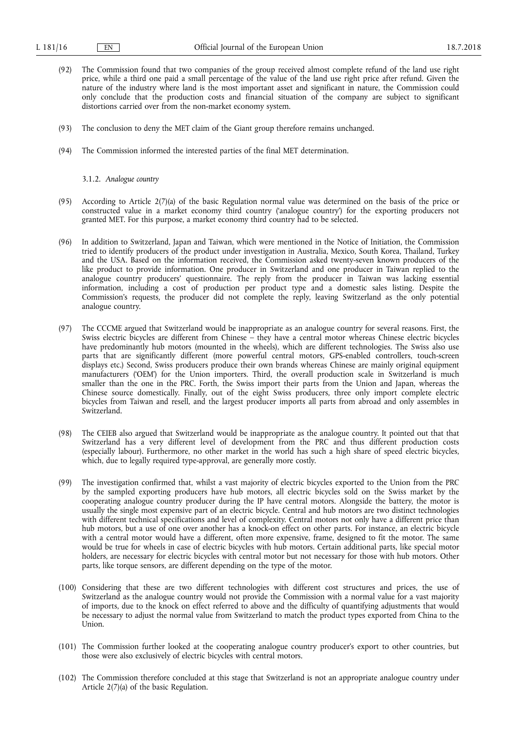- (92) The Commission found that two companies of the group received almost complete refund of the land use right price, while a third one paid a small percentage of the value of the land use right price after refund. Given the nature of the industry where land is the most important asset and significant in nature, the Commission could only conclude that the production costs and financial situation of the company are subject to significant distortions carried over from the non-market economy system.
- (93) The conclusion to deny the MET claim of the Giant group therefore remains unchanged.
- (94) The Commission informed the interested parties of the final MET determination.

### 3.1.2. *Analogue country*

- (95) According to Article  $2(7)(a)$  of the basic Regulation normal value was determined on the basis of the price or constructed value in a market economy third country ('analogue country') for the exporting producers not granted MET. For this purpose, a market economy third country had to be selected.
- (96) In addition to Switzerland, Japan and Taiwan, which were mentioned in the Notice of Initiation, the Commission tried to identify producers of the product under investigation in Australia, Mexico, South Korea, Thailand, Turkey and the USA. Based on the information received, the Commission asked twenty-seven known producers of the like product to provide information. One producer in Switzerland and one producer in Taiwan replied to the analogue country producers' questionnaire. The reply from the producer in Taiwan was lacking essential information, including a cost of production per product type and a domestic sales listing. Despite the Commission's requests, the producer did not complete the reply, leaving Switzerland as the only potential analogue country.
- (97) The CCCME argued that Switzerland would be inappropriate as an analogue country for several reasons. First, the Swiss electric bicycles are different from Chinese – they have a central motor whereas Chinese electric bicycles have predominantly hub motors (mounted in the wheels), which are different technologies. The Swiss also use parts that are significantly different (more powerful central motors, GPS-enabled controllers, touch-screen displays etc.) Second, Swiss producers produce their own brands whereas Chinese are mainly original equipment manufacturers ('OEM') for the Union importers. Third, the overall production scale in Switzerland is much smaller than the one in the PRC. Forth, the Swiss import their parts from the Union and Japan, whereas the Chinese source domestically. Finally, out of the eight Swiss producers, three only import complete electric bicycles from Taiwan and resell, and the largest producer imports all parts from abroad and only assembles in Switzerland.
- (98) The CEIEB also argued that Switzerland would be inappropriate as the analogue country. It pointed out that that Switzerland has a very different level of development from the PRC and thus different production costs (especially labour). Furthermore, no other market in the world has such a high share of speed electric bicycles, which, due to legally required type-approval, are generally more costly.
- (99) The investigation confirmed that, whilst a vast majority of electric bicycles exported to the Union from the PRC by the sampled exporting producers have hub motors, all electric bicycles sold on the Swiss market by the cooperating analogue country producer during the IP have central motors. Alongside the battery, the motor is usually the single most expensive part of an electric bicycle. Central and hub motors are two distinct technologies with different technical specifications and level of complexity. Central motors not only have a different price than hub motors, but a use of one over another has a knock-on effect on other parts. For instance, an electric bicycle with a central motor would have a different, often more expensive, frame, designed to fit the motor. The same would be true for wheels in case of electric bicycles with hub motors. Certain additional parts, like special motor holders, are necessary for electric bicycles with central motor but not necessary for those with hub motors. Other parts, like torque sensors, are different depending on the type of the motor.
- (100) Considering that these are two different technologies with different cost structures and prices, the use of Switzerland as the analogue country would not provide the Commission with a normal value for a vast majority of imports, due to the knock on effect referred to above and the difficulty of quantifying adjustments that would be necessary to adjust the normal value from Switzerland to match the product types exported from China to the Union.
- (101) The Commission further looked at the cooperating analogue country producer's export to other countries, but those were also exclusively of electric bicycles with central motors.
- (102) The Commission therefore concluded at this stage that Switzerland is not an appropriate analogue country under Article 2(7)(a) of the basic Regulation.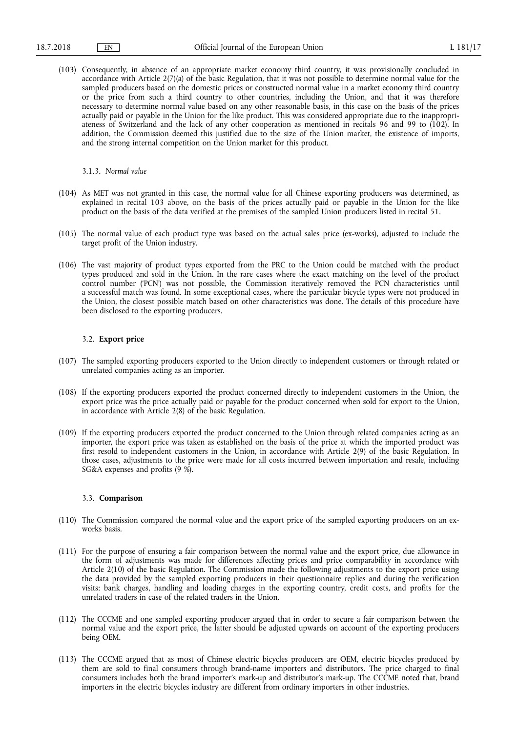(103) Consequently, in absence of an appropriate market economy third country, it was provisionally concluded in accordance with Article 2(7)(a) of the basic Regulation, that it was not possible to determine normal value for the sampled producers based on the domestic prices or constructed normal value in a market economy third country or the price from such a third country to other countries, including the Union, and that it was therefore necessary to determine normal value based on any other reasonable basis, in this case on the basis of the prices actually paid or payable in the Union for the like product. This was considered appropriate due to the inappropriateness of Switzerland and the lack of any other cooperation as mentioned in recitals 96 and 99 to (102). In addition, the Commission deemed this justified due to the size of the Union market, the existence of imports, and the strong internal competition on the Union market for this product.

3.1.3. *Normal value* 

- (104) As MET was not granted in this case, the normal value for all Chinese exporting producers was determined, as explained in recital 103 above, on the basis of the prices actually paid or payable in the Union for the like product on the basis of the data verified at the premises of the sampled Union producers listed in recital 51.
- (105) The normal value of each product type was based on the actual sales price (ex-works), adjusted to include the target profit of the Union industry.
- (106) The vast majority of product types exported from the PRC to the Union could be matched with the product types produced and sold in the Union. In the rare cases where the exact matching on the level of the product control number ('PCN') was not possible, the Commission iteratively removed the PCN characteristics until a successful match was found. In some exceptional cases, where the particular bicycle types were not produced in the Union, the closest possible match based on other characteristics was done. The details of this procedure have been disclosed to the exporting producers.

## 3.2. **Export price**

- (107) The sampled exporting producers exported to the Union directly to independent customers or through related or unrelated companies acting as an importer.
- (108) If the exporting producers exported the product concerned directly to independent customers in the Union, the export price was the price actually paid or payable for the product concerned when sold for export to the Union, in accordance with Article 2(8) of the basic Regulation.
- (109) If the exporting producers exported the product concerned to the Union through related companies acting as an importer, the export price was taken as established on the basis of the price at which the imported product was first resold to independent customers in the Union, in accordance with Article 2(9) of the basic Regulation. In those cases, adjustments to the price were made for all costs incurred between importation and resale, including SG&A expenses and profits (9 %).

### 3.3. **Comparison**

- (110) The Commission compared the normal value and the export price of the sampled exporting producers on an exworks basis.
- (111) For the purpose of ensuring a fair comparison between the normal value and the export price, due allowance in the form of adjustments was made for differences affecting prices and price comparability in accordance with Article 2(10) of the basic Regulation. The Commission made the following adjustments to the export price using the data provided by the sampled exporting producers in their questionnaire replies and during the verification visits: bank charges, handling and loading charges in the exporting country, credit costs, and profits for the unrelated traders in case of the related traders in the Union.
- (112) The CCCME and one sampled exporting producer argued that in order to secure a fair comparison between the normal value and the export price, the latter should be adjusted upwards on account of the exporting producers being OEM.
- (113) The CCCME argued that as most of Chinese electric bicycles producers are OEM, electric bicycles produced by them are sold to final consumers through brand-name importers and distributors. The price charged to final consumers includes both the brand importer's mark-up and distributor's mark-up. The CCCME noted that, brand importers in the electric bicycles industry are different from ordinary importers in other industries.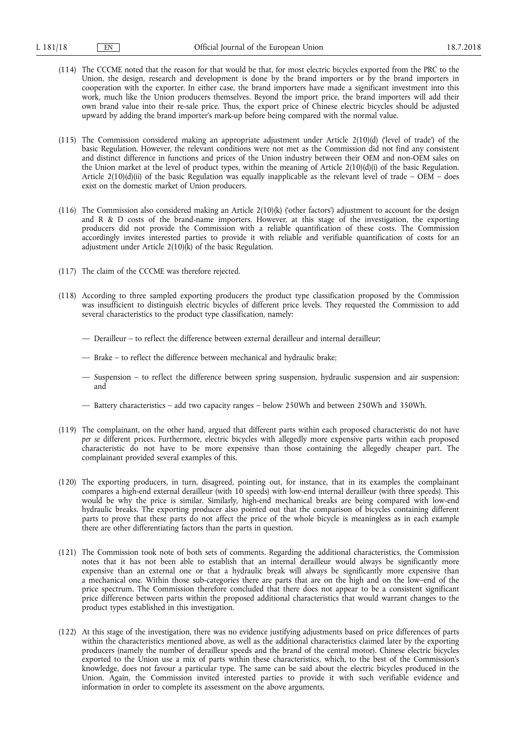- (114) The CCCME noted that the reason for that would be that, for most electric bicycles exported from the PRC to the Union, the design, research and development is done by the brand importers or by the brand importers in cooperation with the exporter. In either case, the brand importers have made a significant investment into this work, much like the Union producers themselves. Beyond the import price, the brand importers will add their own brand value into their re-sale price. Thus, the export price of Chinese electric bicycles should be adjusted upward by adding the brand importer's mark-up before being compared with the normal value.
- (115) The Commission considered making an appropriate adjustment under Article 2(10)(d) ('level of trade') of the basic Regulation. However, the relevant conditions were not met as the Commission did not find any consistent and distinct difference in functions and prices of the Union industry between their OEM and non-OEM sales on the Union market at the level of product types, within the meaning of Article 2(10)(d)(i) of the basic Regulation. Article 2(10)(d)(ii) of the basic Regulation was equally inapplicable as the relevant level of trade –  $OEM$  – does exist on the domestic market of Union producers.
- (116) The Commission also considered making an Article 2(10)(k) ('other factors') adjustment to account for the design and R & D costs of the brand-name importers. However, at this stage of the investigation, the exporting producers did not provide the Commission with a reliable quantification of these costs. The Commission accordingly invites interested parties to provide it with reliable and verifiable quantification of costs for an adjustment under Article  $2(10)(k)$  of the basic Regulation.
- (117) The claim of the CCCME was therefore rejected.
- (118) According to three sampled exporting producers the product type classification proposed by the Commission was insufficient to distinguish electric bicycles of different price levels. They requested the Commission to add several characteristics to the product type classification, namely:
	- Derailleur to reflect the difference between external derailleur and internal derailleur;
	- Brake to reflect the difference between mechanical and hydraulic brake;
	- Suspension to reflect the difference between spring suspension, hydraulic suspension and air suspension; and
	- Battery characteristics add two capacity ranges below 250Wh and between 250Wh and 350Wh.
- (119) The complainant, on the other hand, argued that different parts within each proposed characteristic do not have *per se* different prices. Furthermore, electric bicycles with allegedly more expensive parts within each proposed characteristic do not have to be more expensive than those containing the allegedly cheaper part. The complainant provided several examples of this.
- (120) The exporting producers, in turn, disagreed, pointing out, for instance, that in its examples the complainant compares a high-end external derailleur (with 10 speeds) with low-end internal derailleur (with three speeds). This would be why the price is similar. Similarly, high-end mechanical breaks are being compared with low-end hydraulic breaks. The exporting producer also pointed out that the comparison of bicycles containing different parts to prove that these parts do not affect the price of the whole bicycle is meaningless as in each example there are other differentiating factors than the parts in question.
- (121) The Commission took note of both sets of comments. Regarding the additional characteristics, the Commission notes that it has not been able to establish that an internal derailleur would always be significantly more expensive than an external one or that a hydraulic break will always be significantly more expensive than a mechanical one. Within those sub-categories there are parts that are on the high and on the low–end of the price spectrum. The Commission therefore concluded that there does not appear to be a consistent significant price difference between parts within the proposed additional characteristics that would warrant changes to the product types established in this investigation.
- (122) At this stage of the investigation, there was no evidence justifying adjustments based on price differences of parts within the characteristics mentioned above, as well as the additional characteristics claimed later by the exporting producers (namely the number of derailleur speeds and the brand of the central motor). Chinese electric bicycles exported to the Union use a mix of parts within these characteristics, which, to the best of the Commission's knowledge, does not favour a particular type. The same can be said about the electric bicycles produced in the Union. Again, the Commission invited interested parties to provide it with such verifiable evidence and information in order to complete its assessment on the above arguments.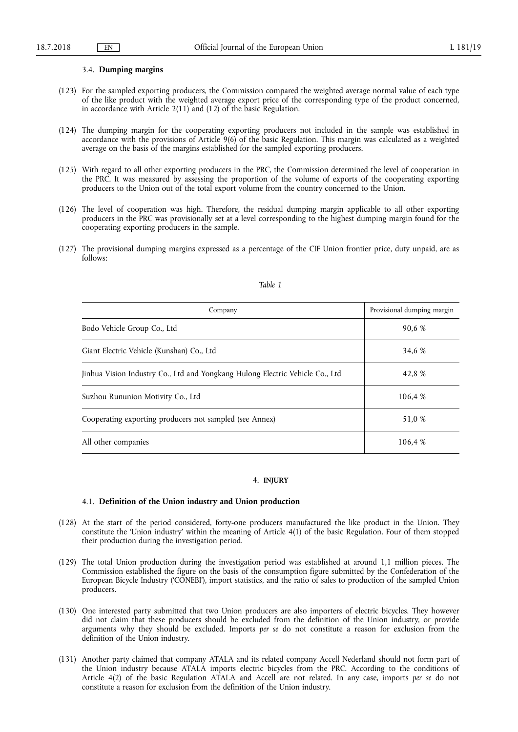### 3.4. **Dumping margins**

- (123) For the sampled exporting producers, the Commission compared the weighted average normal value of each type of the like product with the weighted average export price of the corresponding type of the product concerned, in accordance with Article 2(11) and (12) of the basic Regulation.
- (124) The dumping margin for the cooperating exporting producers not included in the sample was established in accordance with the provisions of Article 9(6) of the basic Regulation. This margin was calculated as a weighted average on the basis of the margins established for the sampled exporting producers.
- (125) With regard to all other exporting producers in the PRC, the Commission determined the level of cooperation in the PRC. It was measured by assessing the proportion of the volume of exports of the cooperating exporting producers to the Union out of the total export volume from the country concerned to the Union.
- (126) The level of cooperation was high. Therefore, the residual dumping margin applicable to all other exporting producers in the PRC was provisionally set at a level corresponding to the highest dumping margin found for the cooperating exporting producers in the sample.
- (127) The provisional dumping margins expressed as a percentage of the CIF Union frontier price, duty unpaid, are as follows:

| Company                                                                       | Provisional dumping margin |
|-------------------------------------------------------------------------------|----------------------------|
| Bodo Vehicle Group Co., Ltd                                                   | 90,6 %                     |
| Giant Electric Vehicle (Kunshan) Co., Ltd                                     | 34.6 %                     |
| Jinhua Vision Industry Co., Ltd and Yongkang Hulong Electric Vehicle Co., Ltd | 42.8 %                     |
| Suzhou Rununion Motivity Co., Ltd                                             | 106.4 %                    |
| Cooperating exporting producers not sampled (see Annex)                       | 51,0 %                     |
| All other companies                                                           | 106.4 %                    |

## *Table 1*

## 4. **INJURY**

## 4.1. **Definition of the Union industry and Union production**

- (128) At the start of the period considered, forty-one producers manufactured the like product in the Union. They constitute the 'Union industry' within the meaning of Article 4(1) of the basic Regulation. Four of them stopped their production during the investigation period.
- (129) The total Union production during the investigation period was established at around 1,1 million pieces. The Commission established the figure on the basis of the consumption figure submitted by the Confederation of the European Bicycle Industry ('CONEBI'), import statistics, and the ratio of sales to production of the sampled Union producers.
- (130) One interested party submitted that two Union producers are also importers of electric bicycles. They however did not claim that these producers should be excluded from the definition of the Union industry, or provide arguments why they should be excluded. Imports *per se* do not constitute a reason for exclusion from the definition of the Union industry.
- (131) Another party claimed that company ATALA and its related company Accell Nederland should not form part of the Union industry because ATALA imports electric bicycles from the PRC. According to the conditions of Article 4(2) of the basic Regulation ATALA and Accell are not related. In any case, imports *per se* do not constitute a reason for exclusion from the definition of the Union industry.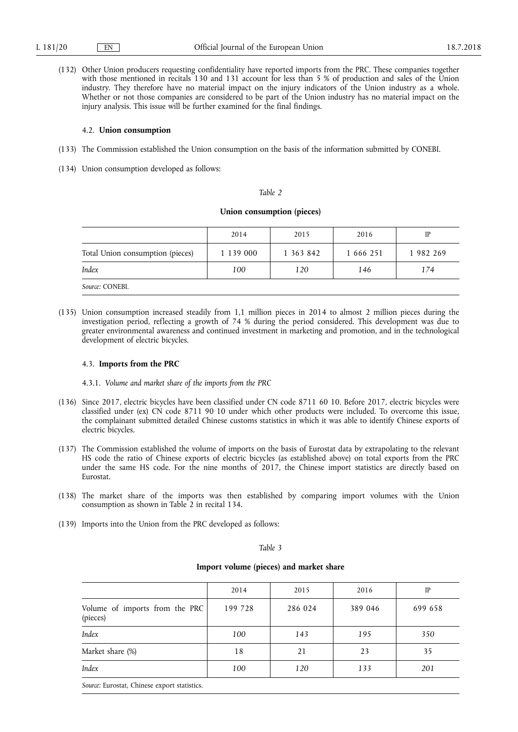(132) Other Union producers requesting confidentiality have reported imports from the PRC. These companies together with those mentioned in recitals 130 and 131 account for less than 5 % of production and sales of the Union industry. They therefore have no material impact on the injury indicators of the Union industry as a whole. Whether or not those companies are considered to be part of the Union industry has no material impact on the injury analysis. This issue will be further examined for the final findings.

## 4.2. **Union consumption**

- (133) The Commission established the Union consumption on the basis of the information submitted by CONEBI.
- (134) Union consumption developed as follows:

### *Table 2*

## **Union consumption (pieces)**

|                                  | 2014      | 2015      | 2016      | IP        |
|----------------------------------|-----------|-----------|-----------|-----------|
| Total Union consumption (pieces) | 1 139 000 | 1 363 842 | 1 666 251 | 1 982 269 |
| Index                            | 100       | 120       | 146       | 174       |
| Source: CONEBI.                  |           |           |           |           |

(135) Union consumption increased steadily from 1,1 million pieces in 2014 to almost 2 million pieces during the investigation period, reflecting a growth of 74 % during the period considered. This development was due to greater environmental awareness and continued investment in marketing and promotion, and in the technological development of electric bicycles.

### 4.3. **Imports from the PRC**

4.3.1. *Volume and market share of the imports from the PRC* 

- (136) Since 2017, electric bicycles have been classified under CN code 8711 60 10. Before 2017, electric bicycles were classified under (ex) CN code 8711 90 10 under which other products were included. To overcome this issue, the complainant submitted detailed Chinese customs statistics in which it was able to identify Chinese exports of electric bicycles.
- (137) The Commission established the volume of imports on the basis of Eurostat data by extrapolating to the relevant HS code the ratio of Chinese exports of electric bicycles (as established above) on total exports from the PRC under the same HS code. For the nine months of 2017, the Chinese import statistics are directly based on Eurostat.
- (138) The market share of the imports was then established by comparing import volumes with the Union consumption as shown in Table 2 in recital 134.
- (139) Imports into the Union from the PRC developed as follows:

## *Table 3*

## **Import volume (pieces) and market share**

|                                                                                                                                            | 2014    | 2015    | 2016    | IP      |
|--------------------------------------------------------------------------------------------------------------------------------------------|---------|---------|---------|---------|
| Volume of imports from the PRC<br>(pieces)                                                                                                 | 199 728 | 286 024 | 389 046 | 699 658 |
| Index                                                                                                                                      | 100     | 143     | 195     | 350     |
| Market share (%)                                                                                                                           | 18      | 21      | 23      | 35      |
| Index                                                                                                                                      | 100     | 120     | 133     | 201     |
| $\sigma$ $\pi$ $\sigma$<br>the contract of the contract of the contract of the contract of the contract of the contract of the contract of |         |         |         |         |

*Source:* Eurostat, Chinese export statistics.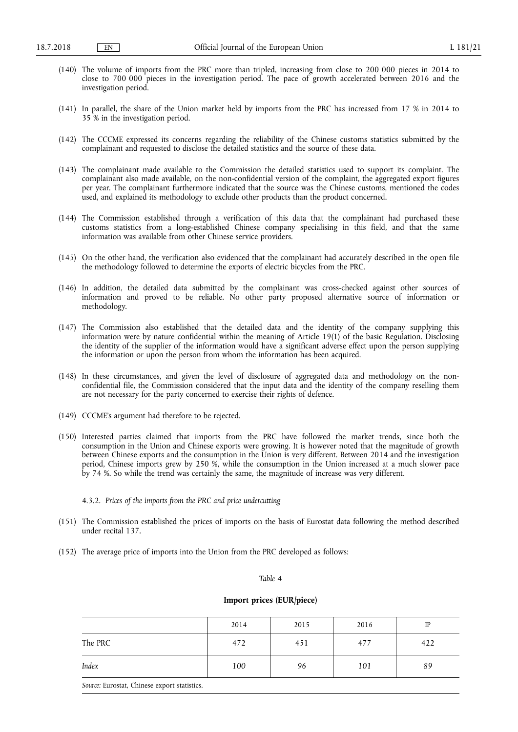- (140) The volume of imports from the PRC more than tripled, increasing from close to 200 000 pieces in 2014 to close to 700 000 pieces in the investigation period. The pace of growth accelerated between 2016 and the investigation period.
- (141) In parallel, the share of the Union market held by imports from the PRC has increased from 17 % in 2014 to 35 % in the investigation period.
- (142) The CCCME expressed its concerns regarding the reliability of the Chinese customs statistics submitted by the complainant and requested to disclose the detailed statistics and the source of these data.
- (143) The complainant made available to the Commission the detailed statistics used to support its complaint. The complainant also made available, on the non-confidential version of the complaint, the aggregated export figures per year. The complainant furthermore indicated that the source was the Chinese customs, mentioned the codes used, and explained its methodology to exclude other products than the product concerned.
- (144) The Commission established through a verification of this data that the complainant had purchased these customs statistics from a long-established Chinese company specialising in this field, and that the same information was available from other Chinese service providers.
- (145) On the other hand, the verification also evidenced that the complainant had accurately described in the open file the methodology followed to determine the exports of electric bicycles from the PRC.
- (146) In addition, the detailed data submitted by the complainant was cross-checked against other sources of information and proved to be reliable. No other party proposed alternative source of information or methodology.
- (147) The Commission also established that the detailed data and the identity of the company supplying this information were by nature confidential within the meaning of Article 19(1) of the basic Regulation. Disclosing the identity of the supplier of the information would have a significant adverse effect upon the person supplying the information or upon the person from whom the information has been acquired.
- (148) In these circumstances, and given the level of disclosure of aggregated data and methodology on the nonconfidential file, the Commission considered that the input data and the identity of the company reselling them are not necessary for the party concerned to exercise their rights of defence.
- (149) CCCME's argument had therefore to be rejected.
- (150) Interested parties claimed that imports from the PRC have followed the market trends, since both the consumption in the Union and Chinese exports were growing. It is however noted that the magnitude of growth between Chinese exports and the consumption in the Union is very different. Between 2014 and the investigation period, Chinese imports grew by 250 %, while the consumption in the Union increased at a much slower pace by 74 %. So while the trend was certainly the same, the magnitude of increase was very different.
	- 4.3.2. *Prices of the imports from the PRC and price undercutting*
- (151) The Commission established the prices of imports on the basis of Eurostat data following the method described under recital 137.
- (152) The average price of imports into the Union from the PRC developed as follows:

#### *Table 4*

## **Import prices (EUR/piece)**

|         | 2014 | 2015 | 2016 | IP  |
|---------|------|------|------|-----|
| The PRC | 472  | 451  | 477  | 422 |
| Index   | 100  | 96   | 101  | 89  |

*Source:* Eurostat, Chinese export statistics.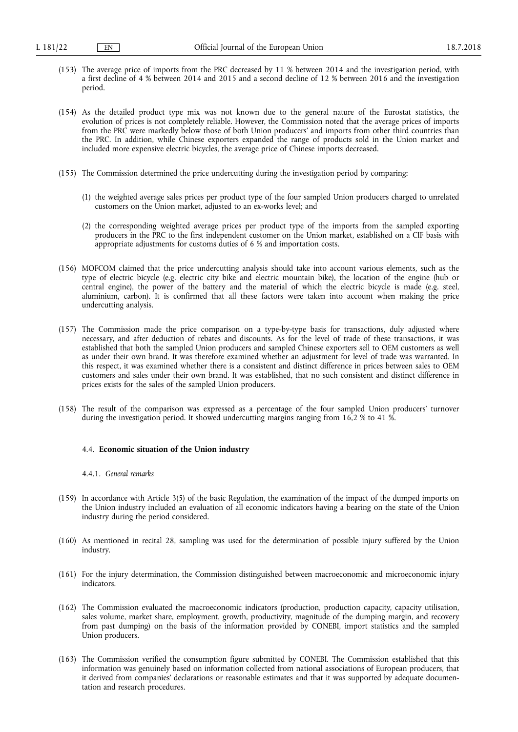- (153) The average price of imports from the PRC decreased by 11 % between 2014 and the investigation period, with a first decline of 4 % between 2014 and 2015 and a second decline of 12 % between 2016 and the investigation period.
- (154) As the detailed product type mix was not known due to the general nature of the Eurostat statistics, the evolution of prices is not completely reliable. However, the Commission noted that the average prices of imports from the PRC were markedly below those of both Union producers' and imports from other third countries than the PRC. In addition, while Chinese exporters expanded the range of products sold in the Union market and included more expensive electric bicycles, the average price of Chinese imports decreased.
- (155) The Commission determined the price undercutting during the investigation period by comparing:
	- (1) the weighted average sales prices per product type of the four sampled Union producers charged to unrelated customers on the Union market, adjusted to an ex-works level; and
	- (2) the corresponding weighted average prices per product type of the imports from the sampled exporting producers in the PRC to the first independent customer on the Union market, established on a CIF basis with appropriate adjustments for customs duties of 6 % and importation costs.
- (156) MOFCOM claimed that the price undercutting analysis should take into account various elements, such as the type of electric bicycle (e.g. electric city bike and electric mountain bike), the location of the engine (hub or central engine), the power of the battery and the material of which the electric bicycle is made (e.g. steel, aluminium, carbon). It is confirmed that all these factors were taken into account when making the price undercutting analysis.
- (157) The Commission made the price comparison on a type-by-type basis for transactions, duly adjusted where necessary, and after deduction of rebates and discounts. As for the level of trade of these transactions, it was established that both the sampled Union producers and sampled Chinese exporters sell to OEM customers as well as under their own brand. It was therefore examined whether an adjustment for level of trade was warranted. In this respect, it was examined whether there is a consistent and distinct difference in prices between sales to OEM customers and sales under their own brand. It was established, that no such consistent and distinct difference in prices exists for the sales of the sampled Union producers.
- (158) The result of the comparison was expressed as a percentage of the four sampled Union producers' turnover during the investigation period. It showed undercutting margins ranging from 16,2 % to 41 %.

### 4.4. **Economic situation of the Union industry**

## 4.4.1. *General remarks*

- (159) In accordance with Article 3(5) of the basic Regulation, the examination of the impact of the dumped imports on the Union industry included an evaluation of all economic indicators having a bearing on the state of the Union industry during the period considered.
- (160) As mentioned in recital 28, sampling was used for the determination of possible injury suffered by the Union industry.
- (161) For the injury determination, the Commission distinguished between macroeconomic and microeconomic injury indicators.
- (162) The Commission evaluated the macroeconomic indicators (production, production capacity, capacity utilisation, sales volume, market share, employment, growth, productivity, magnitude of the dumping margin, and recovery from past dumping) on the basis of the information provided by CONEBI, import statistics and the sampled Union producers.
- (163) The Commission verified the consumption figure submitted by CONEBI. The Commission established that this information was genuinely based on information collected from national associations of European producers, that it derived from companies' declarations or reasonable estimates and that it was supported by adequate documentation and research procedures.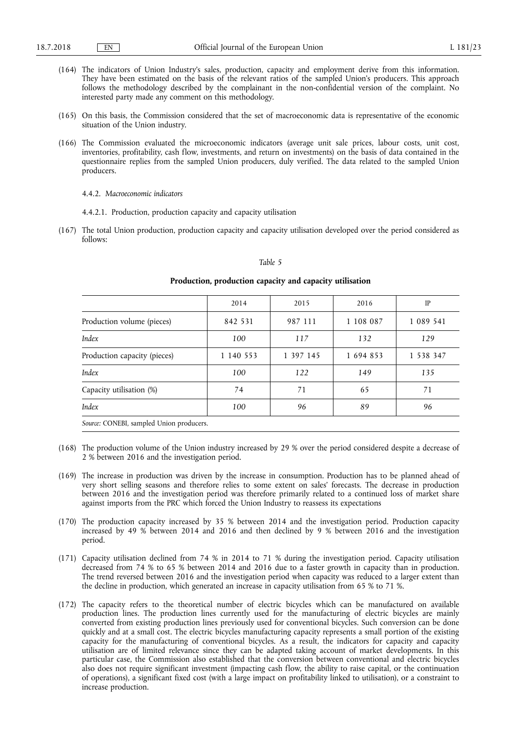- (164) The indicators of Union Industry's sales, production, capacity and employment derive from this information. They have been estimated on the basis of the relevant ratios of the sampled Union's producers. This approach follows the methodology described by the complainant in the non-confidential version of the complaint. No interested party made any comment on this methodology.
- (165) On this basis, the Commission considered that the set of macroeconomic data is representative of the economic situation of the Union industry.
- (166) The Commission evaluated the microeconomic indicators (average unit sale prices, labour costs, unit cost, inventories, profitability, cash flow, investments, and return on investments) on the basis of data contained in the questionnaire replies from the sampled Union producers, duly verified. The data related to the sampled Union producers.

## 4.4.2. *Macroeconomic indicators*

- 4.4.2.1. Production, production capacity and capacity utilisation
- (167) The total Union production, production capacity and capacity utilisation developed over the period considered as follows:

### *Table 5*

|                                          | 2014      | 2015      | 2016      | IP        |
|------------------------------------------|-----------|-----------|-----------|-----------|
| Production volume (pieces)               | 842 531   | 987 111   | 1 108 087 | 1 089 541 |
| Index                                    | 100       | 117       | 132       | 129       |
| Production capacity (pieces)             | 1 140 553 | 1 397 145 | 1 694 853 | 1 538 347 |
| Index                                    | 100       | 122       | 149       | 135       |
| Capacity utilisation (%)                 | 74        | 71        | 65        | 71        |
| Index                                    | 100       | 96        | 89        | 96        |
| Source: CONEBI, sampled Union producers. |           |           |           |           |

## **Production, production capacity and capacity utilisation**

- (168) The production volume of the Union industry increased by 29 % over the period considered despite a decrease of 2 % between 2016 and the investigation period.
- (169) The increase in production was driven by the increase in consumption. Production has to be planned ahead of very short selling seasons and therefore relies to some extent on sales' forecasts. The decrease in production between 2016 and the investigation period was therefore primarily related to a continued loss of market share against imports from the PRC which forced the Union Industry to reassess its expectations
- (170) The production capacity increased by 35 % between 2014 and the investigation period. Production capacity increased by 49 % between 2014 and 2016 and then declined by 9 % between 2016 and the investigation period.
- (171) Capacity utilisation declined from 74 % in 2014 to 71 % during the investigation period. Capacity utilisation decreased from 74 % to 65 % between 2014 and 2016 due to a faster growth in capacity than in production. The trend reversed between 2016 and the investigation period when capacity was reduced to a larger extent than the decline in production, which generated an increase in capacity utilisation from 65 % to 71 %.
- (172) The capacity refers to the theoretical number of electric bicycles which can be manufactured on available production lines. The production lines currently used for the manufacturing of electric bicycles are mainly converted from existing production lines previously used for conventional bicycles. Such conversion can be done quickly and at a small cost. The electric bicycles manufacturing capacity represents a small portion of the existing capacity for the manufacturing of conventional bicycles. As a result, the indicators for capacity and capacity utilisation are of limited relevance since they can be adapted taking account of market developments. In this particular case, the Commission also established that the conversion between conventional and electric bicycles also does not require significant investment (impacting cash flow, the ability to raise capital, or the continuation of operations), a significant fixed cost (with a large impact on profitability linked to utilisation), or a constraint to increase production.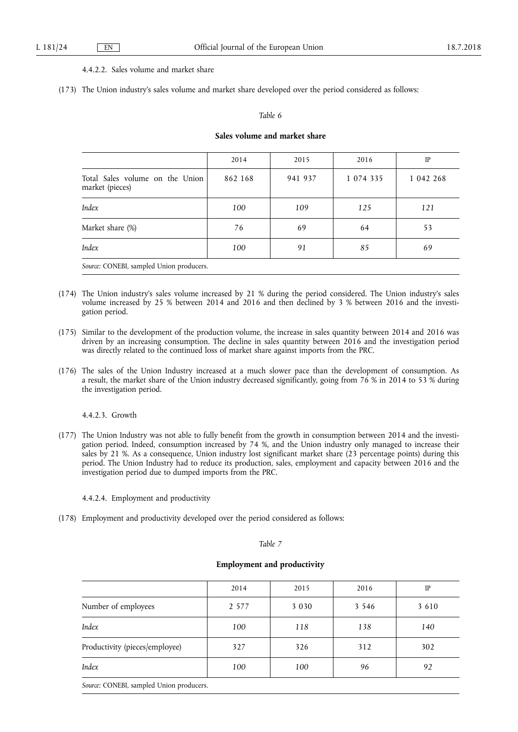## 4.4.2.2. Sales volume and market share

(173) The Union industry's sales volume and market share developed over the period considered as follows:

## *Table 6*

## **Sales volume and market share**

|                                                    | 2014    | 2015    | 2016        | IP        |
|----------------------------------------------------|---------|---------|-------------|-----------|
| Total Sales volume on the Union<br>market (pieces) | 862 168 | 941 937 | 1 0 74 3 35 | 1 042 268 |
| Index                                              | 100     | 109     | 125         | 121       |
| Market share (%)                                   | 76      | 69      | 64          | 53        |
| Index                                              | 100     | 91      | 85          | 69        |
| Source: CONEBI, sampled Union producers.           |         |         |             |           |

- (174) The Union industry's sales volume increased by 21 % during the period considered. The Union industry's sales volume increased by 25 % between 2014 and 2016 and then declined by 3 % between 2016 and the investigation period.
- (175) Similar to the development of the production volume, the increase in sales quantity between 2014 and 2016 was driven by an increasing consumption. The decline in sales quantity between 2016 and the investigation period was directly related to the continued loss of market share against imports from the PRC.
- (176) The sales of the Union Industry increased at a much slower pace than the development of consumption. As a result, the market share of the Union industry decreased significantly, going from 76 % in 2014 to 53 % during the investigation period.

4.4.2.3. Growth

- (177) The Union Industry was not able to fully benefit from the growth in consumption between 2014 and the investigation period. Indeed, consumption increased by 74 %, and the Union industry only managed to increase their sales by 21 %. As a consequence, Union industry lost significant market share (23 percentage points) during this period. The Union Industry had to reduce its production, sales, employment and capacity between 2016 and the investigation period due to dumped imports from the PRC.
	- 4.4.2.4. Employment and productivity
- (178) Employment and productivity developed over the period considered as follows:

#### *Table 7*

## **Employment and productivity**

|                                | 2014    | 2015    | 2016    | IP      |
|--------------------------------|---------|---------|---------|---------|
| Number of employees            | 2 5 7 7 | 3 0 3 0 | 3 5 4 6 | 3 6 1 0 |
| Index                          | 100     | 118     | 138     | 140     |
| Productivity (pieces/employee) | 327     | 326     | 312     | 302     |
| Index                          | 100     | 100     | 96      | 92      |
|                                |         |         |         |         |

*Source:* CONEBI, sampled Union producers.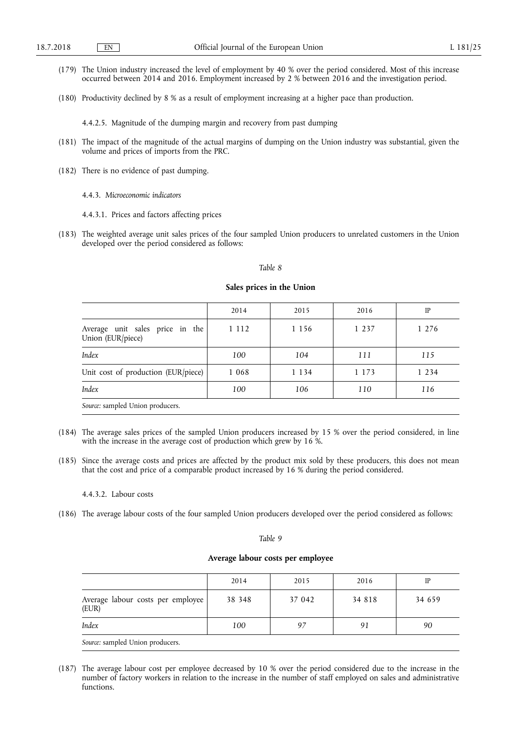- (179) The Union industry increased the level of employment by 40 % over the period considered. Most of this increase occurred between 2014 and 2016. Employment increased by 2 % between 2016 and the investigation period.
- (180) Productivity declined by 8 % as a result of employment increasing at a higher pace than production.

4.4.2.5. Magnitude of the dumping margin and recovery from past dumping

- (181) The impact of the magnitude of the actual margins of dumping on the Union industry was substantial, given the volume and prices of imports from the PRC.
- (182) There is no evidence of past dumping.
	- 4.4.3. *Microeconomic indicators*
	- 4.4.3.1. Prices and factors affecting prices
- (183) The weighted average unit sales prices of the four sampled Union producers to unrelated customers in the Union developed over the period considered as follows:

### *Table 8*

#### **Sales prices in the Union**

|                                                      | 2014    | 2015    | 2016    | IP      |
|------------------------------------------------------|---------|---------|---------|---------|
| Average unit sales price in the<br>Union (EUR/piece) | 1 1 1 2 | 1 1 5 6 | 1 2 3 7 | 1 2 7 6 |
| Index                                                | 100     | 104     | 111     | 115     |
| Unit cost of production (EUR/piece)                  | 1 0 6 8 | 1 1 3 4 | 1 1 7 3 | 1 2 3 4 |
| Index                                                | 100     | 106     | 110     | 116     |
| Source: sampled Union producers.                     |         |         |         |         |

- (184) The average sales prices of the sampled Union producers increased by 15 % over the period considered, in line with the increase in the average cost of production which grew by 16 %.
- (185) Since the average costs and prices are affected by the product mix sold by these producers, this does not mean that the cost and price of a comparable product increased by 16 % during the period considered.

#### 4.4.3.2. Labour costs

(186) The average labour costs of the four sampled Union producers developed over the period considered as follows:

### *Table 9*

## **Average labour costs per employee**

|                                            | 2014   | 2015   | 2016   | IP     |
|--------------------------------------------|--------|--------|--------|--------|
| Average labour costs per employee<br>(EUR) | 38 348 | 37 042 | 34 818 | 34 659 |
| Index                                      | 100    | 97     | 91     | 90     |
| Source: sampled Union producers.           |        |        |        |        |

(187) The average labour cost per employee decreased by 10 % over the period considered due to the increase in the number of factory workers in relation to the increase in the number of staff employed on sales and administrative functions.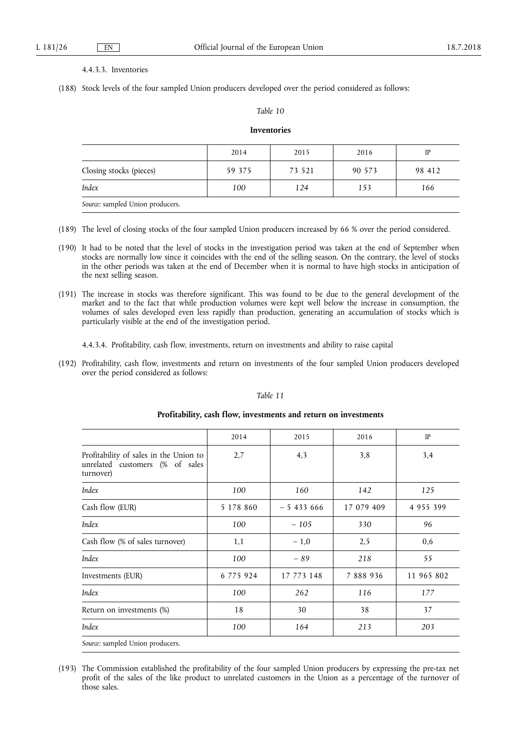## 4.4.3.3. Inventories

(188) Stock levels of the four sampled Union producers developed over the period considered as follows:

## *Table 10*

## **Inventories**

|                                  | 2014   | 2015   | 2016   | IP     |
|----------------------------------|--------|--------|--------|--------|
| Closing stocks (pieces)          | 59 375 | 73 521 | 90 573 | 98 412 |
| Index                            | 100    | 124    | 153    | 166    |
| Source: sampled Union producers. |        |        |        |        |

- (189) The level of closing stocks of the four sampled Union producers increased by 66 % over the period considered.
- (190) It had to be noted that the level of stocks in the investigation period was taken at the end of September when stocks are normally low since it coincides with the end of the selling season. On the contrary, the level of stocks in the other periods was taken at the end of December when it is normal to have high stocks in anticipation of the next selling season.
- (191) The increase in stocks was therefore significant. This was found to be due to the general development of the market and to the fact that while production volumes were kept well below the increase in consumption, the volumes of sales developed even less rapidly than production, generating an accumulation of stocks which is particularly visible at the end of the investigation period.

4.4.3.4. Profitability, cash flow, investments, return on investments and ability to raise capital

(192) Profitability, cash flow, investments and return on investments of the four sampled Union producers developed over the period considered as follows:

| ŒΓ |  |
|----|--|
|    |  |

|                                                                                        | 2014      | 2015       | 2016       | IP            |
|----------------------------------------------------------------------------------------|-----------|------------|------------|---------------|
| Profitability of sales in the Union to<br>unrelated customers (% of sales<br>turnover) | 2,7       | 4,3        | 3,8        | 3,4           |
| Index                                                                                  | 100       | 160        | 142        | 125           |
| Cash flow (EUR)                                                                        | 5 178 860 | $-5433666$ | 17 079 409 | 4 9 5 5 3 9 9 |
| Index                                                                                  | 100       | $-105$     | 330        | 96            |
| Cash flow (% of sales turnover)                                                        | 1,1       | $-1.0$     | 2,5        | 0,6           |
| Index                                                                                  | 100       | $-89$      | 218        | 55            |
| Investments (EUR)                                                                      | 6 775 924 | 17 773 148 | 7 888 936  | 11 965 802    |
| Index                                                                                  | 100       | 262        | 116        | 177           |
| Return on investments (%)                                                              | 18        | 30         | 38         | 37            |
| Index                                                                                  | 100       | 164        | 213        | 203           |
| Source: sampled Union producers.                                                       |           |            |            |               |

## **Profitability, cash flow, investments and return on investments**

<sup>(193)</sup> The Commission established the profitability of the four sampled Union producers by expressing the pre-tax net profit of the sales of the like product to unrelated customers in the Union as a percentage of the turnover of those sales.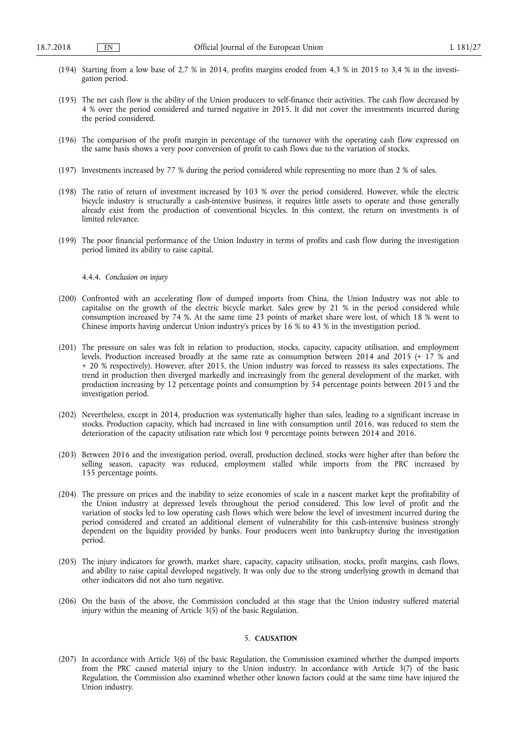- (194) Starting from a low base of 2,7 % in 2014, profits margins eroded from 4,3 % in 2015 to 3,4 % in the investigation period.
- (195) The net cash flow is the ability of the Union producers to self-finance their activities. The cash flow decreased by 4 % over the period considered and turned negative in 2015. It did not cover the investments incurred during the period considered.
- (196) The comparison of the profit margin in percentage of the turnover with the operating cash flow expressed on the same basis shows a very poor conversion of profit to cash flows due to the variation of stocks.
- (197) Investments increased by 77 % during the period considered while representing no more than 2 % of sales.
- (198) The ratio of return of investment increased by 103 % over the period considered. However, while the electric bicycle industry is structurally a cash-intensive business, it requires little assets to operate and those generally already exist from the production of conventional bicycles. In this context, the return on investments is of limited relevance.
- (199) The poor financial performance of the Union Industry in terms of profits and cash flow during the investigation period limited its ability to raise capital.

4.4.4. *Conclusion on injury* 

- (200) Confronted with an accelerating flow of dumped imports from China, the Union Industry was not able to capitalise on the growth of the electric bicycle market. Sales grew by 21 % in the period considered while consumption increased by 74 %. At the same time 23 points of market share were lost, of which 18 % went to Chinese imports having undercut Union industry's prices by 16 % to 43 % in the investigation period.
- (201) The pressure on sales was felt in relation to production, stocks, capacity, capacity utilisation, and employment levels. Production increased broadly at the same rate as consumption between 2014 and 2015 (+ 17 % and + 20 % respectively). However, after 2015, the Union industry was forced to reassess its sales expectations. The trend in production then diverged markedly and increasingly from the general development of the market, with production increasing by 12 percentage points and consumption by 54 percentage points between 2015 and the investigation period.
- (202) Nevertheless, except in 2014, production was systematically higher than sales, leading to a significant increase in stocks. Production capacity, which had increased in line with consumption until 2016, was reduced to stem the deterioration of the capacity utilisation rate which lost 9 percentage points between 2014 and 2016.
- (203) Between 2016 and the investigation period, overall, production declined, stocks were higher after than before the selling season, capacity was reduced, employment stalled while imports from the PRC increased by 155 percentage points.
- (204) The pressure on prices and the inability to seize economies of scale in a nascent market kept the profitability of the Union industry at depressed levels throughout the period considered. This low level of profit and the variation of stocks led to low operating cash flows which were below the level of investment incurred during the period considered and created an additional element of vulnerability for this cash-intensive business strongly dependent on the liquidity provided by banks. Four producers went into bankruptcy during the investigation period.
- (205) The injury indicators for growth, market share, capacity, capacity utilisation, stocks, profit margins, cash flows, and ability to raise capital developed negatively. It was only due to the strong underlying growth in demand that other indicators did not also turn negative.
- (206) On the basis of the above, the Commission concluded at this stage that the Union industry suffered material injury within the meaning of Article 3(5) of the basic Regulation.

## 5. **CAUSATION**

(207) In accordance with Article 3(6) of the basic Regulation, the Commission examined whether the dumped imports from the PRC caused material injury to the Union industry. In accordance with Article 3(7) of the basic Regulation, the Commission also examined whether other known factors could at the same time have injured the Union industry.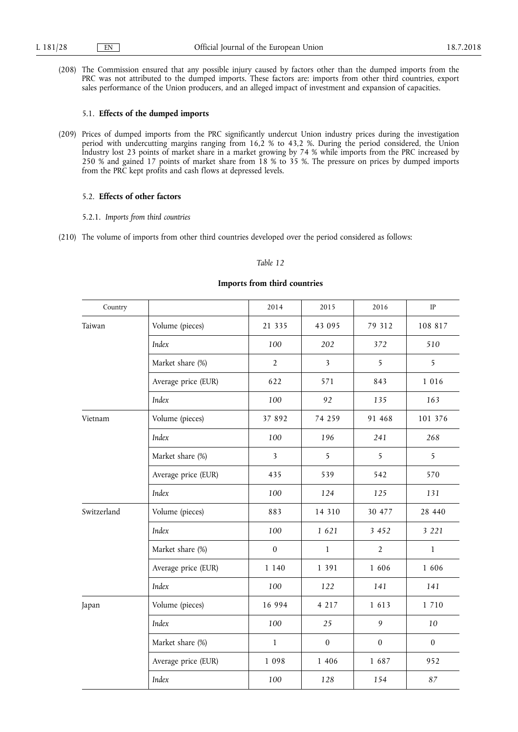(208) The Commission ensured that any possible injury caused by factors other than the dumped imports from the PRC was not attributed to the dumped imports. These factors are: imports from other third countries, export sales performance of the Union producers, and an alleged impact of investment and expansion of capacities.

## 5.1. **Effects of the dumped imports**

(209) Prices of dumped imports from the PRC significantly undercut Union industry prices during the investigation period with undercutting margins ranging from 16,2 % to 43,2 %. During the period considered, the Union Industry lost 23 points of market share in a market growing by 74 % while imports from the PRC increased by 250 % and gained 17 points of market share from 18 % to 35 %. The pressure on prices by dumped imports from the PRC kept profits and cash flows at depressed levels.

## 5.2. **Effects of other factors**

- 5.2.1. *Imports from third countries*
- (210) The volume of imports from other third countries developed over the period considered as follows:

## *Table 12*

| Country     |                     | 2014                    | 2015                    | 2016             | IP               |
|-------------|---------------------|-------------------------|-------------------------|------------------|------------------|
| Taiwan      | Volume (pieces)     | 21 3 3 5                | 43 095                  | 79 312           | 108 817          |
|             | Index               | 100                     | 202                     | 372              | 510              |
|             | Market share (%)    | $\overline{2}$          | $\overline{\mathbf{3}}$ | 5                | 5                |
|             | Average price (EUR) | 622                     | 571                     | 843              | 1 0 1 6          |
|             | Index               | 100                     | 92                      | 135              | 163              |
| Vietnam     | Volume (pieces)     | 37 892                  | 74 259                  | 91 468           | 101 376          |
|             | Index               | 100                     | 196                     | 241              | 268              |
|             | Market share (%)    | $\overline{\mathbf{3}}$ | 5                       | 5                | 5                |
|             | Average price (EUR) | 435                     | 539                     | 542              | 570              |
|             | Index               | 100                     | 124                     | 125              | 131              |
| Switzerland | Volume (pieces)     | 883                     | 14 3 10                 | 30 477           | 28 440           |
|             | Index               | 100                     | 1 621                   | 3 4 5 2          | 3 2 2 1          |
|             | Market share (%)    | $\boldsymbol{0}$        | $\mathbf{1}$            | $\overline{2}$   | $\mathbf{1}$     |
|             | Average price (EUR) | 1 1 4 0                 | 1 3 9 1                 | 1 606            | 1 606            |
|             | Index               | 100                     | 122                     | 141              | 141              |
| Japan       | Volume (pieces)     | 16 994                  | 4 2 1 7                 | 1 6 1 3          | 1 7 1 0          |
|             | Index               | 100                     | 25                      | 9                | 10               |
|             | Market share (%)    | $\mathbf{1}$            | $\boldsymbol{0}$        | $\boldsymbol{0}$ | $\boldsymbol{0}$ |
|             | Average price (EUR) | 1 0 9 8                 | 1 4 0 6                 | 1 687            | 952              |
|             | Index               | 100                     | 128                     | 154              | 87               |

## **Imports from third countries**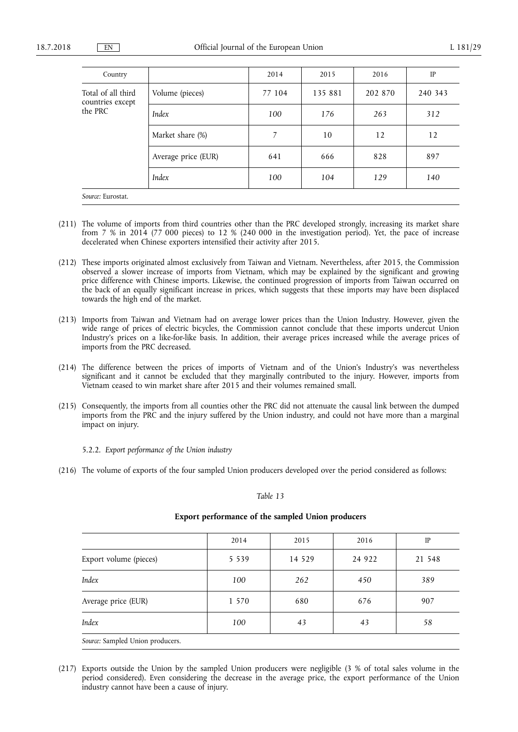| Country                                           |                     | 2014   | 2015    | 2016    | IP      |
|---------------------------------------------------|---------------------|--------|---------|---------|---------|
| Total of all third<br>countries except<br>the PRC | Volume (pieces)     | 77 104 | 135 881 | 202 870 | 240 343 |
|                                                   | Index               | 100    | 176     | 263     | 312     |
|                                                   | Market share (%)    | 7      | 10      | 12      | 12      |
|                                                   | Average price (EUR) | 641    | 666     | 828     | 897     |
|                                                   | Index               | 100    | 104     | 129     | 140     |
| Source: Eurostat.                                 |                     |        |         |         |         |

- (211) The volume of imports from third countries other than the PRC developed strongly, increasing its market share from 7 % in 2014 (77 000 pieces) to 12 % (240 000 in the investigation period). Yet, the pace of increase decelerated when Chinese exporters intensified their activity after 2015.
- (212) These imports originated almost exclusively from Taiwan and Vietnam. Nevertheless, after 2015, the Commission observed a slower increase of imports from Vietnam, which may be explained by the significant and growing price difference with Chinese imports. Likewise, the continued progression of imports from Taiwan occurred on the back of an equally significant increase in prices, which suggests that these imports may have been displaced towards the high end of the market.
- (213) Imports from Taiwan and Vietnam had on average lower prices than the Union Industry. However, given the wide range of prices of electric bicycles, the Commission cannot conclude that these imports undercut Union Industry's prices on a like-for-like basis. In addition, their average prices increased while the average prices of imports from the PRC decreased.
- (214) The difference between the prices of imports of Vietnam and of the Union's Industry's was nevertheless significant and it cannot be excluded that they marginally contributed to the injury. However, imports from Vietnam ceased to win market share after 2015 and their volumes remained small.
- (215) Consequently, the imports from all counties other the PRC did not attenuate the causal link between the dumped imports from the PRC and the injury suffered by the Union industry, and could not have more than a marginal impact on injury.

5.2.2. *Export performance of the Union industry* 

(216) The volume of exports of the four sampled Union producers developed over the period considered as follows:

### *Table 13*

|                                  | 2014    | 2015    | 2016    | IP     |
|----------------------------------|---------|---------|---------|--------|
| Export volume (pieces)           | 5 5 3 9 | 14 5 29 | 24 9 22 | 21 548 |
| Index                            | 100     | 262     | 450     | 389    |
| Average price (EUR)              | 1 570   | 680     | 676     | 907    |
| Index                            | 100     | 43      | 43      | 58     |
| Source: Sampled Union producers. |         |         |         |        |

## **Export performance of the sampled Union producers**

(217) Exports outside the Union by the sampled Union producers were negligible (3 % of total sales volume in the period considered). Even considering the decrease in the average price, the export performance of the Union industry cannot have been a cause of injury.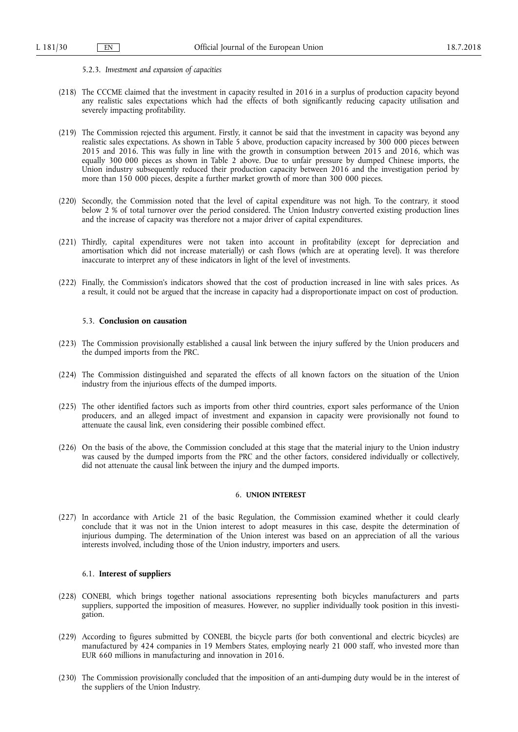#### 5.2.3. *Investment and expansion of capacities*

- (218) The CCCME claimed that the investment in capacity resulted in 2016 in a surplus of production capacity beyond any realistic sales expectations which had the effects of both significantly reducing capacity utilisation and severely impacting profitability.
- (219) The Commission rejected this argument. Firstly, it cannot be said that the investment in capacity was beyond any realistic sales expectations. As shown in Table 5 above, production capacity increased by 300 000 pieces between 2015 and 2016. This was fully in line with the growth in consumption between 2015 and 2016, which was equally 300 000 pieces as shown in Table 2 above. Due to unfair pressure by dumped Chinese imports, the Union industry subsequently reduced their production capacity between 2016 and the investigation period by more than 150 000 pieces, despite a further market growth of more than 300 000 pieces.
- (220) Secondly, the Commission noted that the level of capital expenditure was not high. To the contrary, it stood below 2 % of total turnover over the period considered. The Union Industry converted existing production lines and the increase of capacity was therefore not a major driver of capital expenditures.
- (221) Thirdly, capital expenditures were not taken into account in profitability (except for depreciation and amortisation which did not increase materially) or cash flows (which are at operating level). It was therefore inaccurate to interpret any of these indicators in light of the level of investments.
- (222) Finally, the Commission's indicators showed that the cost of production increased in line with sales prices. As a result, it could not be argued that the increase in capacity had a disproportionate impact on cost of production.

## 5.3. **Conclusion on causation**

- (223) The Commission provisionally established a causal link between the injury suffered by the Union producers and the dumped imports from the PRC.
- (224) The Commission distinguished and separated the effects of all known factors on the situation of the Union industry from the injurious effects of the dumped imports.
- (225) The other identified factors such as imports from other third countries, export sales performance of the Union producers, and an alleged impact of investment and expansion in capacity were provisionally not found to attenuate the causal link, even considering their possible combined effect.
- (226) On the basis of the above, the Commission concluded at this stage that the material injury to the Union industry was caused by the dumped imports from the PRC and the other factors, considered individually or collectively, did not attenuate the causal link between the injury and the dumped imports.

## 6. **UNION INTEREST**

(227) In accordance with Article 21 of the basic Regulation, the Commission examined whether it could clearly conclude that it was not in the Union interest to adopt measures in this case, despite the determination of injurious dumping. The determination of the Union interest was based on an appreciation of all the various interests involved, including those of the Union industry, importers and users.

## 6.1. **Interest of suppliers**

- (228) CONEBI, which brings together national associations representing both bicycles manufacturers and parts suppliers, supported the imposition of measures. However, no supplier individually took position in this investigation.
- (229) According to figures submitted by CONEBI, the bicycle parts (for both conventional and electric bicycles) are manufactured by 424 companies in 19 Members States, employing nearly 21 000 staff, who invested more than EUR 660 millions in manufacturing and innovation in 2016.
- (230) The Commission provisionally concluded that the imposition of an anti-dumping duty would be in the interest of the suppliers of the Union Industry.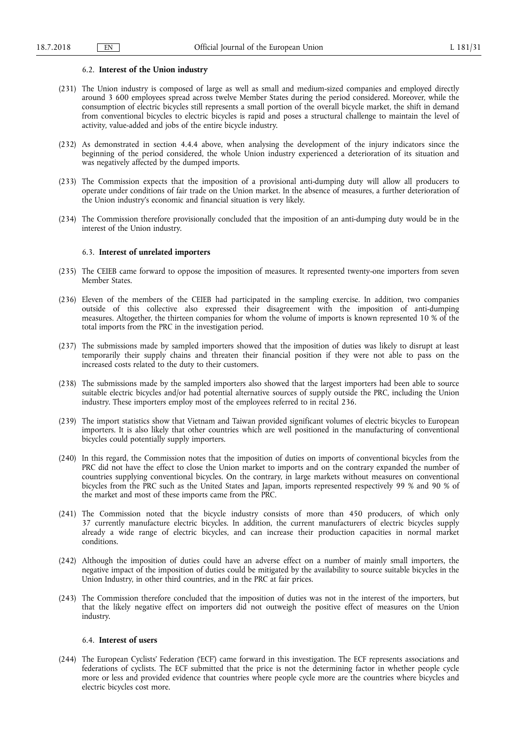### 6.2. **Interest of the Union industry**

- (231) The Union industry is composed of large as well as small and medium-sized companies and employed directly around 3 600 employees spread across twelve Member States during the period considered. Moreover, while the consumption of electric bicycles still represents a small portion of the overall bicycle market, the shift in demand from conventional bicycles to electric bicycles is rapid and poses a structural challenge to maintain the level of activity, value-added and jobs of the entire bicycle industry.
- (232) As demonstrated in section 4.4.4 above, when analysing the development of the injury indicators since the beginning of the period considered, the whole Union industry experienced a deterioration of its situation and was negatively affected by the dumped imports.
- (233) The Commission expects that the imposition of a provisional anti-dumping duty will allow all producers to operate under conditions of fair trade on the Union market. In the absence of measures, a further deterioration of the Union industry's economic and financial situation is very likely.
- (234) The Commission therefore provisionally concluded that the imposition of an anti-dumping duty would be in the interest of the Union industry.

## 6.3. **Interest of unrelated importers**

- (235) The CEIEB came forward to oppose the imposition of measures. It represented twenty-one importers from seven Member States.
- (236) Eleven of the members of the CEIEB had participated in the sampling exercise. In addition, two companies outside of this collective also expressed their disagreement with the imposition of anti-dumping measures. Altogether, the thirteen companies for whom the volume of imports is known represented 10 % of the total imports from the PRC in the investigation period.
- (237) The submissions made by sampled importers showed that the imposition of duties was likely to disrupt at least temporarily their supply chains and threaten their financial position if they were not able to pass on the increased costs related to the duty to their customers.
- (238) The submissions made by the sampled importers also showed that the largest importers had been able to source suitable electric bicycles and/or had potential alternative sources of supply outside the PRC, including the Union industry. These importers employ most of the employees referred to in recital 236.
- (239) The import statistics show that Vietnam and Taiwan provided significant volumes of electric bicycles to European importers. It is also likely that other countries which are well positioned in the manufacturing of conventional bicycles could potentially supply importers.
- (240) In this regard, the Commission notes that the imposition of duties on imports of conventional bicycles from the PRC did not have the effect to close the Union market to imports and on the contrary expanded the number of countries supplying conventional bicycles. On the contrary, in large markets without measures on conventional bicycles from the PRC such as the United States and Japan, imports represented respectively 99 % and 90 % of the market and most of these imports came from the PRC.
- (241) The Commission noted that the bicycle industry consists of more than 450 producers, of which only 37 currently manufacture electric bicycles. In addition, the current manufacturers of electric bicycles supply already a wide range of electric bicycles, and can increase their production capacities in normal market conditions.
- (242) Although the imposition of duties could have an adverse effect on a number of mainly small importers, the negative impact of the imposition of duties could be mitigated by the availability to source suitable bicycles in the Union Industry, in other third countries, and in the PRC at fair prices.
- (243) The Commission therefore concluded that the imposition of duties was not in the interest of the importers, but that the likely negative effect on importers did not outweigh the positive effect of measures on the Union industry.

### 6.4. **Interest of users**

(244) The European Cyclists' Federation ('ECF') came forward in this investigation. The ECF represents associations and federations of cyclists. The ECF submitted that the price is not the determining factor in whether people cycle more or less and provided evidence that countries where people cycle more are the countries where bicycles and electric bicycles cost more.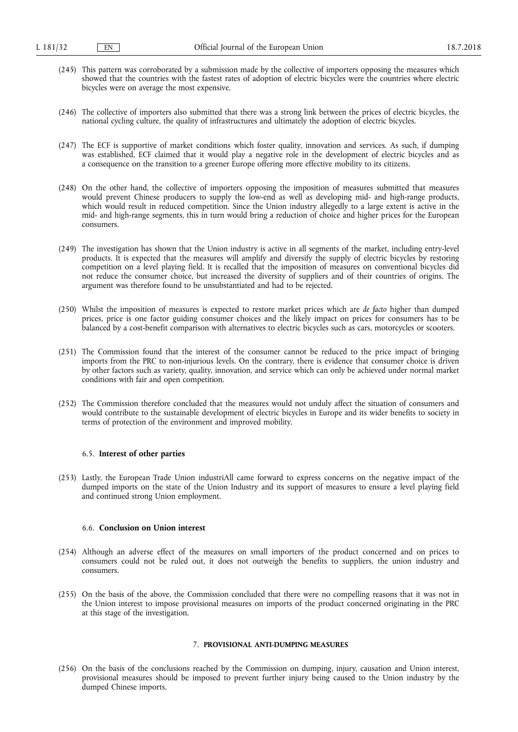- (245) This pattern was corroborated by a submission made by the collective of importers opposing the measures which showed that the countries with the fastest rates of adoption of electric bicycles were the countries where electric bicycles were on average the most expensive.
- (246) The collective of importers also submitted that there was a strong link between the prices of electric bicycles, the national cycling culture, the quality of infrastructures and ultimately the adoption of electric bicycles.
- (247) The ECF is supportive of market conditions which foster quality, innovation and services. As such, if dumping was established, ECF claimed that it would play a negative role in the development of electric bicycles and as a consequence on the transition to a greener Europe offering more effective mobility to its citizens.
- (248) On the other hand, the collective of importers opposing the imposition of measures submitted that measures would prevent Chinese producers to supply the low-end as well as developing mid- and high-range products, which would result in reduced competition. Since the Union industry allegedly to a large extent is active in the mid- and high-range segments, this in turn would bring a reduction of choice and higher prices for the European consumers.
- (249) The investigation has shown that the Union industry is active in all segments of the market, including entry-level products. It is expected that the measures will amplify and diversify the supply of electric bicycles by restoring competition on a level playing field. It is recalled that the imposition of measures on conventional bicycles did not reduce the consumer choice, but increased the diversity of suppliers and of their countries of origins. The argument was therefore found to be unsubstantiated and had to be rejected.
- (250) Whilst the imposition of measures is expected to restore market prices which are *de facto* higher than dumped prices, price is one factor guiding consumer choices and the likely impact on prices for consumers has to be balanced by a cost-benefit comparison with alternatives to electric bicycles such as cars, motorcycles or scooters.
- (251) The Commission found that the interest of the consumer cannot be reduced to the price impact of bringing imports from the PRC to non-injurious levels. On the contrary, there is evidence that consumer choice is driven by other factors such as variety, quality, innovation, and service which can only be achieved under normal market conditions with fair and open competition.
- (252) The Commission therefore concluded that the measures would not unduly affect the situation of consumers and would contribute to the sustainable development of electric bicycles in Europe and its wider benefits to society in terms of protection of the environment and improved mobility.

## 6.5. **Interest of other parties**

(253) Lastly, the European Trade Union industriAll came forward to express concerns on the negative impact of the dumped imports on the state of the Union Industry and its support of measures to ensure a level playing field and continued strong Union employment.

## 6.6. **Conclusion on Union interest**

- (254) Although an adverse effect of the measures on small importers of the product concerned and on prices to consumers could not be ruled out, it does not outweigh the benefits to suppliers, the union industry and consumers.
- (255) On the basis of the above, the Commission concluded that there were no compelling reasons that it was not in the Union interest to impose provisional measures on imports of the product concerned originating in the PRC at this stage of the investigation.

### 7. **PROVISIONAL ANTI-DUMPING MEASURES**

(256) On the basis of the conclusions reached by the Commission on dumping, injury, causation and Union interest, provisional measures should be imposed to prevent further injury being caused to the Union industry by the dumped Chinese imports.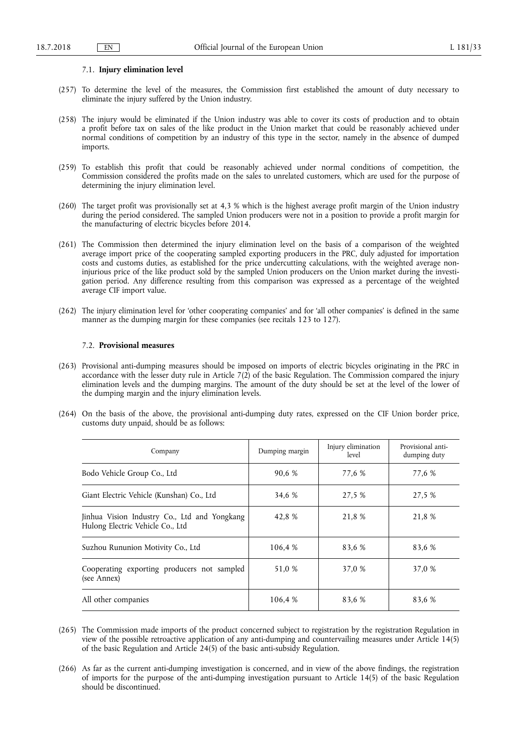### 7.1. **Injury elimination level**

- (257) To determine the level of the measures, the Commission first established the amount of duty necessary to eliminate the injury suffered by the Union industry.
- (258) The injury would be eliminated if the Union industry was able to cover its costs of production and to obtain a profit before tax on sales of the like product in the Union market that could be reasonably achieved under normal conditions of competition by an industry of this type in the sector, namely in the absence of dumped imports.
- (259) To establish this profit that could be reasonably achieved under normal conditions of competition, the Commission considered the profits made on the sales to unrelated customers, which are used for the purpose of determining the injury elimination level.
- (260) The target profit was provisionally set at 4,3 % which is the highest average profit margin of the Union industry during the period considered. The sampled Union producers were not in a position to provide a profit margin for the manufacturing of electric bicycles before 2014.
- (261) The Commission then determined the injury elimination level on the basis of a comparison of the weighted average import price of the cooperating sampled exporting producers in the PRC, duly adjusted for importation costs and customs duties, as established for the price undercutting calculations, with the weighted average noninjurious price of the like product sold by the sampled Union producers on the Union market during the investigation period. Any difference resulting from this comparison was expressed as a percentage of the weighted average CIF import value.
- (262) The injury elimination level for 'other cooperating companies' and for 'all other companies' is defined in the same manner as the dumping margin for these companies (see recitals 123 to 127).

## 7.2. **Provisional measures**

- (263) Provisional anti-dumping measures should be imposed on imports of electric bicycles originating in the PRC in accordance with the lesser duty rule in Article 7(2) of the basic Regulation. The Commission compared the injury elimination levels and the dumping margins. The amount of the duty should be set at the level of the lower of the dumping margin and the injury elimination levels.
- (264) On the basis of the above, the provisional anti-dumping duty rates, expressed on the CIF Union border price, customs duty unpaid, should be as follows:

| Company                                                                          | Dumping margin | Injury elimination<br>level | Provisional anti-<br>dumping duty |
|----------------------------------------------------------------------------------|----------------|-----------------------------|-----------------------------------|
| Bodo Vehicle Group Co., Ltd                                                      | 90,6 %         | 77,6 %                      | 77,6 %                            |
| Giant Electric Vehicle (Kunshan) Co., Ltd                                        | 34,6 %         | 27.5 %                      | 27,5 %                            |
| Jinhua Vision Industry Co., Ltd and Yongkang<br>Hulong Electric Vehicle Co., Ltd | 42.8 %         | 21,8 %                      | 21.8 %                            |
| Suzhou Rununion Motivity Co., Ltd                                                | 106,4 %        | 83.6 %                      | 83.6 %                            |
| Cooperating exporting producers not sampled<br>(see Annex)                       | 51,0 %         | 37,0 %                      | 37,0 %                            |
| All other companies                                                              | 106,4 %        | 83.6 %                      | 83.6 %                            |

- (265) The Commission made imports of the product concerned subject to registration by the registration Regulation in view of the possible retroactive application of any anti-dumping and countervailing measures under Article 14(5) of the basic Regulation and Article 24(5) of the basic anti-subsidy Regulation.
- (266) As far as the current anti-dumping investigation is concerned, and in view of the above findings, the registration of imports for the purpose of the anti-dumping investigation pursuant to Article 14(5) of the basic Regulation should be discontinued.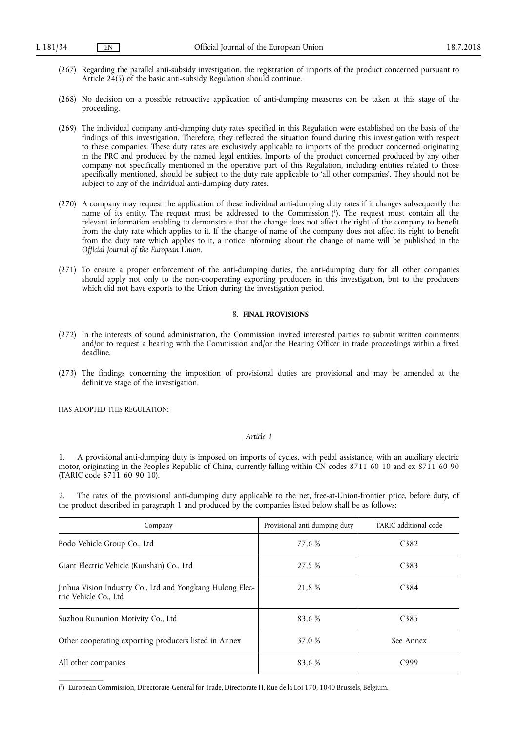- (267) Regarding the parallel anti-subsidy investigation, the registration of imports of the product concerned pursuant to Article 24(5) of the basic anti-subsidy Regulation should continue.
- (268) No decision on a possible retroactive application of anti-dumping measures can be taken at this stage of the proceeding.
- (269) The individual company anti-dumping duty rates specified in this Regulation were established on the basis of the findings of this investigation. Therefore, they reflected the situation found during this investigation with respect to these companies. These duty rates are exclusively applicable to imports of the product concerned originating in the PRC and produced by the named legal entities. Imports of the product concerned produced by any other company not specifically mentioned in the operative part of this Regulation, including entities related to those specifically mentioned, should be subject to the duty rate applicable to 'all other companies'. They should not be subject to any of the individual anti-dumping duty rates.
- (270) A company may request the application of these individual anti-dumping duty rates if it changes subsequently the name of its entity. The request must be addressed to the Commission ( 1 ). The request must contain all the relevant information enabling to demonstrate that the change does not affect the right of the company to benefit from the duty rate which applies to it. If the change of name of the company does not affect its right to benefit from the duty rate which applies to it, a notice informing about the change of name will be published in the *Official Journal of the European Union*.
- (271) To ensure a proper enforcement of the anti-dumping duties, the anti-dumping duty for all other companies should apply not only to the non-cooperating exporting producers in this investigation, but to the producers which did not have exports to the Union during the investigation period.

### 8. **FINAL PROVISIONS**

- (272) In the interests of sound administration, the Commission invited interested parties to submit written comments and/or to request a hearing with the Commission and/or the Hearing Officer in trade proceedings within a fixed deadline.
- (273) The findings concerning the imposition of provisional duties are provisional and may be amended at the definitive stage of the investigation,

HAS ADOPTED THIS REGULATION:

## *Article 1*

1. A provisional anti-dumping duty is imposed on imports of cycles, with pedal assistance, with an auxiliary electric motor, originating in the People's Republic of China, currently falling within CN codes 8711 60 10 and ex 8711 60 90 (TARIC code 8711 60 90 10).

2. The rates of the provisional anti-dumping duty applicable to the net, free-at-Union-frontier price, before duty, of the product described in paragraph 1 and produced by the companies listed below shall be as follows:

| Company                                                                            | Provisional anti-dumping duty | TARIC additional code |
|------------------------------------------------------------------------------------|-------------------------------|-----------------------|
| Bodo Vehicle Group Co., Ltd                                                        | 77,6 %                        | C <sub>382</sub>      |
| Giant Electric Vehicle (Kunshan) Co., Ltd                                          | 27.5 %                        | C <sub>383</sub>      |
| Jinhua Vision Industry Co., Ltd and Yongkang Hulong Elec-<br>tric Vehicle Co., Ltd | 21,8 %                        | C <sub>384</sub>      |
| Suzhou Rununion Motivity Co., Ltd                                                  | 83.6 %                        | C <sub>3</sub> 85     |
| Other cooperating exporting producers listed in Annex                              | 37,0 %                        | See Annex             |
| All other companies                                                                | 83,6 %                        | C999                  |

( 1 ) European Commission, Directorate-General for Trade, Directorate H, Rue de la Loi 170, 1040 Brussels, Belgium.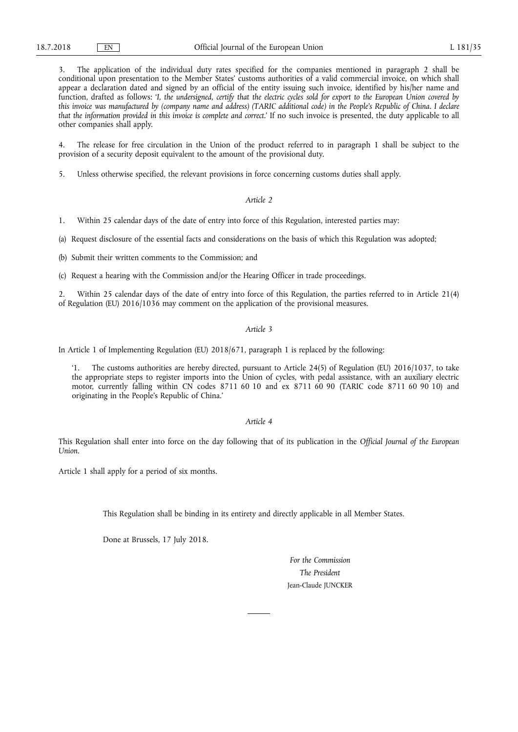3. The application of the individual duty rates specified for the companies mentioned in paragraph 2 shall be conditional upon presentation to the Member States' customs authorities of a valid commercial invoice, on which shall appear a declaration dated and signed by an official of the entity issuing such invoice, identified by his/her name and function, drafted as follows: '*I, the undersigned, certify that the electric cycles sold for export to the European Union covered by this invoice was manufactured by (company name and address) (TARIC additional code) in the People's Republic of China. I declare that the information provided in this invoice is complete and correct*.' If no such invoice is presented, the duty applicable to all other companies shall apply.

4. The release for free circulation in the Union of the product referred to in paragraph 1 shall be subject to the provision of a security deposit equivalent to the amount of the provisional duty.

5. Unless otherwise specified, the relevant provisions in force concerning customs duties shall apply.

## *Article 2*

1. Within 25 calendar days of the date of entry into force of this Regulation, interested parties may:

(a) Request disclosure of the essential facts and considerations on the basis of which this Regulation was adopted;

(b) Submit their written comments to the Commission; and

(c) Request a hearing with the Commission and/or the Hearing Officer in trade proceedings.

2. Within 25 calendar days of the date of entry into force of this Regulation, the parties referred to in Article 21(4) of Regulation (EU) 2016/1036 may comment on the application of the provisional measures.

## *Article 3*

In Article 1 of Implementing Regulation (EU) 2018/671, paragraph 1 is replaced by the following:

The customs authorities are hereby directed, pursuant to Article 24(5) of Regulation (EU) 2016/1037, to take the appropriate steps to register imports into the Union of cycles, with pedal assistance, with an auxiliary electric motor, currently falling within CN codes 8711 60 10 and ex 8711 60 90 (TARIC code 8711 60 90 10) and originating in the People's Republic of China.'

### *Article 4*

This Regulation shall enter into force on the day following that of its publication in the *Official Journal of the European Union*.

Article 1 shall apply for a period of six months.

This Regulation shall be binding in its entirety and directly applicable in all Member States.

Done at Brussels, 17 July 2018.

*For the Commission The President*  Jean-Claude JUNCKER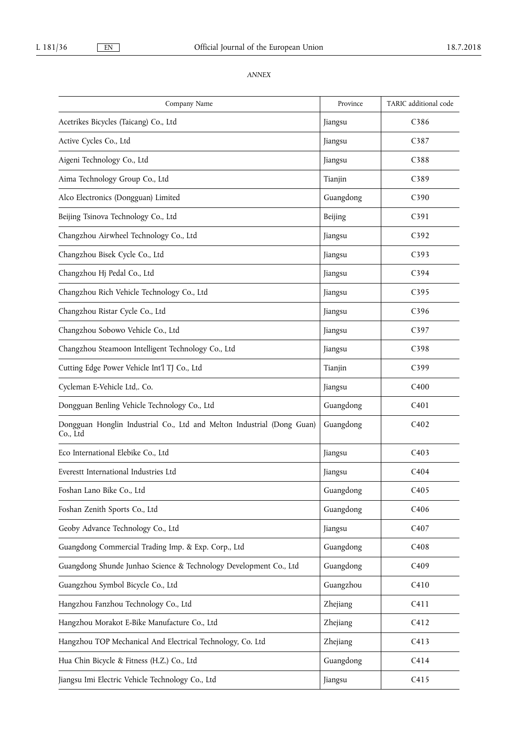# *ANNEX*

| Company Name                                                                       | Province  | TARIC additional code |
|------------------------------------------------------------------------------------|-----------|-----------------------|
| Acetrikes Bicycles (Taicang) Co., Ltd                                              | Jiangsu   | C386                  |
| Active Cycles Co., Ltd                                                             | Jiangsu   | C387                  |
| Aigeni Technology Co., Ltd                                                         | Jiangsu   | C388                  |
| Aima Technology Group Co., Ltd                                                     | Tianjin   | C389                  |
| Alco Electronics (Dongguan) Limited                                                | Guangdong | C390                  |
| Beijing Tsinova Technology Co., Ltd                                                | Beijing   | C391                  |
| Changzhou Airwheel Technology Co., Ltd                                             | Jiangsu   | C392                  |
| Changzhou Bisek Cycle Co., Ltd                                                     | Jiangsu   | C393                  |
| Changzhou Hj Pedal Co., Ltd                                                        | Jiangsu   | C394                  |
| Changzhou Rich Vehicle Technology Co., Ltd                                         | Jiangsu   | C395                  |
| Changzhou Ristar Cycle Co., Ltd                                                    | Jiangsu   | C396                  |
| Changzhou Sobowo Vehicle Co., Ltd                                                  | Jiangsu   | C <sub>397</sub>      |
| Changzhou Steamoon Intelligent Technology Co., Ltd                                 | Jiangsu   | C398                  |
| Cutting Edge Power Vehicle Int'l TJ Co., Ltd                                       | Tianjin   | C399                  |
| Cycleman E-Vehicle Ltd,. Co.                                                       | Jiangsu   | C400                  |
| Dongguan Benling Vehicle Technology Co., Ltd                                       | Guangdong | C <sub>401</sub>      |
| Dongguan Honglin Industrial Co., Ltd and Melton Industrial (Dong Guan)<br>Co., Ltd | Guangdong | C402                  |
| Eco International Elebike Co., Ltd                                                 | Jiangsu   | C403                  |
| Everestt International Industries Ltd                                              | Jiangsu   | C404                  |
| Foshan Lano Bike Co., Ltd                                                          | Guangdong | C405                  |
| Foshan Zenith Sports Co., Ltd                                                      | Guangdong | C406                  |
| Geoby Advance Technology Co., Ltd                                                  | Jiangsu   | C407                  |
| Guangdong Commercial Trading Imp. & Exp. Corp., Ltd                                | Guangdong | C408                  |
| Guangdong Shunde Junhao Science & Technology Development Co., Ltd                  | Guangdong | C409                  |
| Guangzhou Symbol Bicycle Co., Ltd                                                  | Guangzhou | C410                  |
| Hangzhou Fanzhou Technology Co., Ltd                                               | Zhejiang  | C411                  |
| Hangzhou Morakot E-Bike Manufacture Co., Ltd                                       | Zhejiang  | C412                  |
| Hangzhou TOP Mechanical And Electrical Technology, Co. Ltd                         | Zhejiang  | C413                  |
| Hua Chin Bicycle & Fitness (H.Z.) Co., Ltd                                         | Guangdong | C414                  |
| Jiangsu Imi Electric Vehicle Technology Co., Ltd                                   | Jiangsu   | C415                  |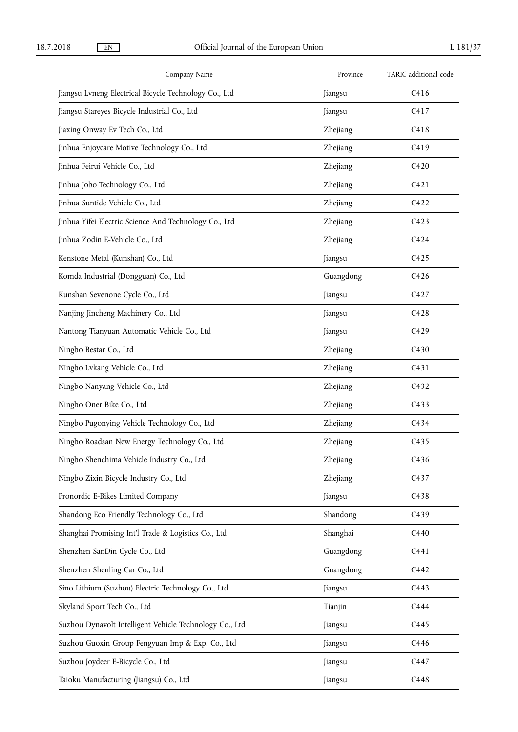| Company Name                                            | Province  | TARIC additional code |
|---------------------------------------------------------|-----------|-----------------------|
| Jiangsu Lvneng Electrical Bicycle Technology Co., Ltd   | Jiangsu   | C416                  |
| Jiangsu Stareyes Bicycle Industrial Co., Ltd            | Jiangsu   | C417                  |
| Jiaxing Onway Ev Tech Co., Ltd                          | Zhejiang  | C418                  |
| Jinhua Enjoycare Motive Technology Co., Ltd             | Zhejiang  | C419                  |
| Jinhua Feirui Vehicle Co., Ltd                          | Zhejiang  | C420                  |
| Jinhua Jobo Technology Co., Ltd                         | Zhejiang  | C421                  |
| Jinhua Suntide Vehicle Co., Ltd                         | Zhejiang  | C422                  |
| Jinhua Yifei Electric Science And Technology Co., Ltd   | Zhejiang  | C423                  |
| Jinhua Zodin E-Vehicle Co., Ltd                         | Zhejiang  | C424                  |
| Kenstone Metal (Kunshan) Co., Ltd                       | Jiangsu   | C425                  |
| Komda Industrial (Dongguan) Co., Ltd                    | Guangdong | C426                  |
| Kunshan Sevenone Cycle Co., Ltd                         | Jiangsu   | C427                  |
| Nanjing Jincheng Machinery Co., Ltd                     | Jiangsu   | C428                  |
| Nantong Tianyuan Automatic Vehicle Co., Ltd             | Jiangsu   | C429                  |
| Ningbo Bestar Co., Ltd                                  | Zhejiang  | C430                  |
| Ningbo Lvkang Vehicle Co., Ltd                          | Zhejiang  | C431                  |
| Ningbo Nanyang Vehicle Co., Ltd                         | Zhejiang  | C432                  |
| Ningbo Oner Bike Co., Ltd                               | Zhejiang  | C433                  |
| Ningbo Pugonying Vehicle Technology Co., Ltd            | Zhejiang  | C434                  |
| Ningbo Roadsan New Energy Technology Co., Ltd           | Zhejiang  | C435                  |
| Ningbo Shenchima Vehicle Industry Co., Ltd              | Zhejiang  | C436                  |
| Ningbo Zixin Bicycle Industry Co., Ltd                  | Zhejiang  | C437                  |
| Pronordic E-Bikes Limited Company                       | Jiangsu   | C438                  |
| Shandong Eco Friendly Technology Co., Ltd               | Shandong  | C439                  |
| Shanghai Promising Int'l Trade & Logistics Co., Ltd     | Shanghai  | C440                  |
| Shenzhen SanDin Cycle Co., Ltd                          | Guangdong | C441                  |
| Shenzhen Shenling Car Co., Ltd                          | Guangdong | C442                  |
| Sino Lithium (Suzhou) Electric Technology Co., Ltd      | Jiangsu   | C443                  |
| Skyland Sport Tech Co., Ltd                             | Tianjin   | C444                  |
| Suzhou Dynavolt Intelligent Vehicle Technology Co., Ltd | Jiangsu   | C445                  |
| Suzhou Guoxin Group Fengyuan Imp & Exp. Co., Ltd        | Jiangsu   | C446                  |
| Suzhou Joydeer E-Bicycle Co., Ltd                       | Jiangsu   | C447                  |
| Taioku Manufacturing (Jiangsu) Co., Ltd                 | Jiangsu   | C448                  |